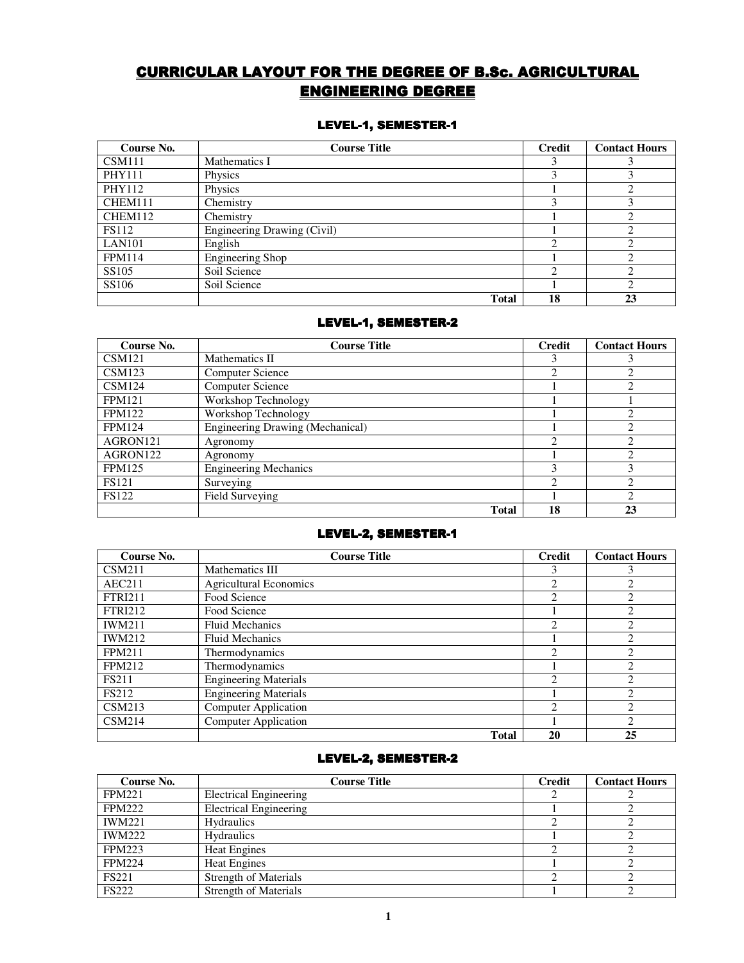# CURRICULAR LAYOUT FOR THE DEGREE OF B.Sc. AGRICULTURAL **ENGINEERING DEGREE**

# LEVEL-1, SEMESTER-1

| Course No.    | <b>Course Title</b>         | <b>Credit</b> | <b>Contact Hours</b> |
|---------------|-----------------------------|---------------|----------------------|
| <b>CSM111</b> | Mathematics I               |               |                      |
| <b>PHY111</b> | Physics                     |               |                      |
| PHY112        | Physics                     |               |                      |
| CHEM111       | Chemistry                   |               |                      |
| CHEM112       | Chemistry                   |               |                      |
| <b>FS112</b>  | Engineering Drawing (Civil) |               |                      |
| LAN101        | English                     | ↑             |                      |
| <b>FPM114</b> | Engineering Shop            |               |                      |
| SS105         | Soil Science                | ◠             |                      |
| SS106         | Soil Science                |               |                      |
|               | <b>Total</b>                | 18            | 23                   |

# LEVEL-1, SEMESTER-2

| Course No.    | <b>Course Title</b>              | <b>Credit</b> | <b>Contact Hours</b> |
|---------------|----------------------------------|---------------|----------------------|
| <b>CSM121</b> | Mathematics II                   |               |                      |
| CSM123        | Computer Science                 | ↑             |                      |
| <b>CSM124</b> | Computer Science                 |               |                      |
| <b>FPM121</b> | Workshop Technology              |               |                      |
| <b>FPM122</b> | Workshop Technology              |               |                      |
| <b>FPM124</b> | Engineering Drawing (Mechanical) |               |                      |
| AGRON121      | Agronomy                         | ◠             |                      |
| AGRON122      | Agronomy                         |               |                      |
| <b>FPM125</b> | <b>Engineering Mechanics</b>     |               |                      |
| <b>FS121</b>  | Surveying                        |               |                      |
| <b>FS122</b>  | Field Surveying                  |               |                      |
|               | <b>Total</b>                     | 18            | 23                   |

### LEVEL-2, SEMESTER-1

| Course No.     | <b>Course Title</b>           | Credit                      | <b>Contact Hours</b> |
|----------------|-------------------------------|-----------------------------|----------------------|
| CSM211         | Mathematics III               |                             |                      |
| AEC211         | <b>Agricultural Economics</b> | $\mathcal{D}$               |                      |
| <b>FTRI211</b> | Food Science                  | ↑                           |                      |
| <b>FTRI212</b> | Food Science                  |                             |                      |
| <b>IWM211</b>  | <b>Fluid Mechanics</b>        | C                           |                      |
| <b>IWM212</b>  | <b>Fluid Mechanics</b>        |                             |                      |
| <b>FPM211</b>  | Thermodynamics                | $\mathcal{D}_{\mathcal{L}}$ |                      |
| <b>FPM212</b>  | Thermodynamics                |                             | ↑                    |
| <b>FS211</b>   | <b>Engineering Materials</b>  | ◠                           |                      |
| <b>FS212</b>   | <b>Engineering Materials</b>  |                             |                      |
| CSM213         | <b>Computer Application</b>   | $\mathfrak{D}$              | $\mathfrak{D}$       |
| CSM214         | <b>Computer Application</b>   |                             |                      |
|                | <b>Total</b>                  | 20                          | 25                   |

# LEVEL-2, SEMESTER-2

| Course No.    | <b>Course Title</b>           | Credit | <b>Contact Hours</b> |
|---------------|-------------------------------|--------|----------------------|
| <b>FPM221</b> | <b>Electrical Engineering</b> |        |                      |
| <b>FPM222</b> | <b>Electrical Engineering</b> |        |                      |
| <b>IWM221</b> | <b>Hydraulics</b>             |        |                      |
| <b>IWM222</b> | <b>Hydraulics</b>             |        |                      |
| <b>FPM223</b> | <b>Heat Engines</b>           |        |                      |
| <b>FPM224</b> | <b>Heat Engines</b>           |        |                      |
| <b>FS221</b>  | Strength of Materials         |        |                      |
| <b>FS222</b>  | <b>Strength of Materials</b>  |        |                      |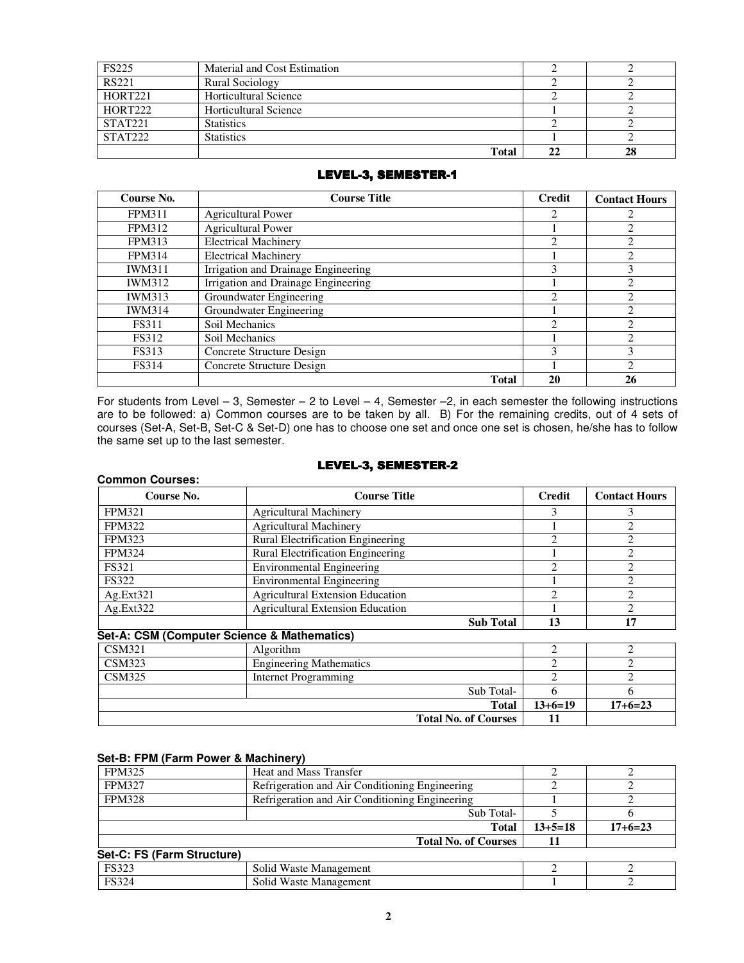| <b>FS225</b>   | Material and Cost Estimation |  |
|----------------|------------------------------|--|
| <b>RS221</b>   | <b>Rural Sociology</b>       |  |
| HORT221        | Horticultural Science        |  |
| <b>HORT222</b> | Horticultural Science        |  |
| <b>STAT221</b> | <b>Statistics</b>            |  |
| STAT222        | <b>Statistics</b>            |  |
|                | <b>Total</b>                 |  |

# LEVEL-3, SEMESTER-1

| Course No.    | <b>Course Title</b>                 | Credit | <b>Contact Hours</b> |
|---------------|-------------------------------------|--------|----------------------|
| <b>FPM311</b> | <b>Agricultural Power</b>           |        |                      |
| <b>FPM312</b> | <b>Agricultural Power</b>           |        |                      |
| <b>FPM313</b> | <b>Electrical Machinery</b>         | າ      |                      |
| <b>FPM314</b> | <b>Electrical Machinery</b>         |        | ◠                    |
| <b>IWM311</b> | Irrigation and Drainage Engineering |        |                      |
| <b>IWM312</b> | Irrigation and Drainage Engineering |        | ◠                    |
| <b>IWM313</b> | Groundwater Engineering             | າ      | ◠                    |
| <b>IWM314</b> | Groundwater Engineering             |        | $\mathfrak{D}$       |
| <b>FS311</b>  | Soil Mechanics                      | ∍      |                      |
| <b>FS312</b>  | Soil Mechanics                      |        | ↑                    |
| <b>FS313</b>  | Concrete Structure Design           | 3      | 3                    |
| <b>FS314</b>  | Concrete Structure Design           |        | ◠                    |
|               | <b>Total</b>                        | 20     | 26                   |

For students from Level – 3, Semester – 2 to Level – 4, Semester –2, in each semester the following instructions are to be followed: a) Common courses are to be taken by all. B) For the remaining credits, out of 4 sets of courses (Set-A, Set-B, Set-C & Set-D) one has to choose one set and once one set is chosen, he/she has to follow the same set up to the last semester.

#### LEVEL-3, SEMESTER-2

| Course No.    | <b>Course Title</b>                         | <b>Credit</b> | <b>Contact Hours</b> |
|---------------|---------------------------------------------|---------------|----------------------|
| <b>FPM321</b> | <b>Agricultural Machinery</b>               |               |                      |
| <b>FPM322</b> | <b>Agricultural Machinery</b>               |               |                      |
| <b>FPM323</b> | Rural Electrification Engineering           |               |                      |
| <b>FPM324</b> | <b>Rural Electrification Engineering</b>    |               |                      |
| <b>FS321</b>  | <b>Environmental Engineering</b>            | 2             |                      |
| <b>FS322</b>  | <b>Environmental Engineering</b>            |               |                      |
| Ag.Ext321     | <b>Agricultural Extension Education</b>     | ↑             |                      |
| Ag.Ext322     | <b>Agricultural Extension Education</b>     |               |                      |
|               | <b>Sub Total</b>                            | 13            | 17                   |
|               | Set-A: CSM (Computer Science & Mathematics) |               |                      |
| CSM321        | $\Delta$ loorithm                           |               |                      |

|               |                                | <b>Total No. of Courses</b> |           |           |
|---------------|--------------------------------|-----------------------------|-----------|-----------|
|               |                                | Total                       | $13+6=19$ | $17+6=23$ |
|               |                                | Sub Total-                  |           |           |
| <b>CSM325</b> | Internet Programming           |                             |           |           |
| CSM323        | <b>Engineering Mathematics</b> |                             |           |           |
| <b>CSM321</b> | Algorithm                      |                             |           |           |

# **Set-B: FPM (Farm Power & Machinery)**

**Common Courses:** 

| <b>FPM325</b>              | <b>Heat and Mass Transfer</b>                  |           |           |
|----------------------------|------------------------------------------------|-----------|-----------|
| <b>FPM327</b>              | Refrigeration and Air Conditioning Engineering |           |           |
| <b>FPM328</b>              | Refrigeration and Air Conditioning Engineering |           |           |
|                            | Sub Total-                                     |           |           |
|                            | <b>Total</b>                                   | $13+5=18$ | $17+6=23$ |
|                            | <b>Total No. of Courses</b>                    |           |           |
| Set-C: FS (Farm Structure) |                                                |           |           |
| <b>FS323</b>               | Solid Waste Management                         |           |           |
| <b>FS324</b>               | Solid Waste Management                         |           |           |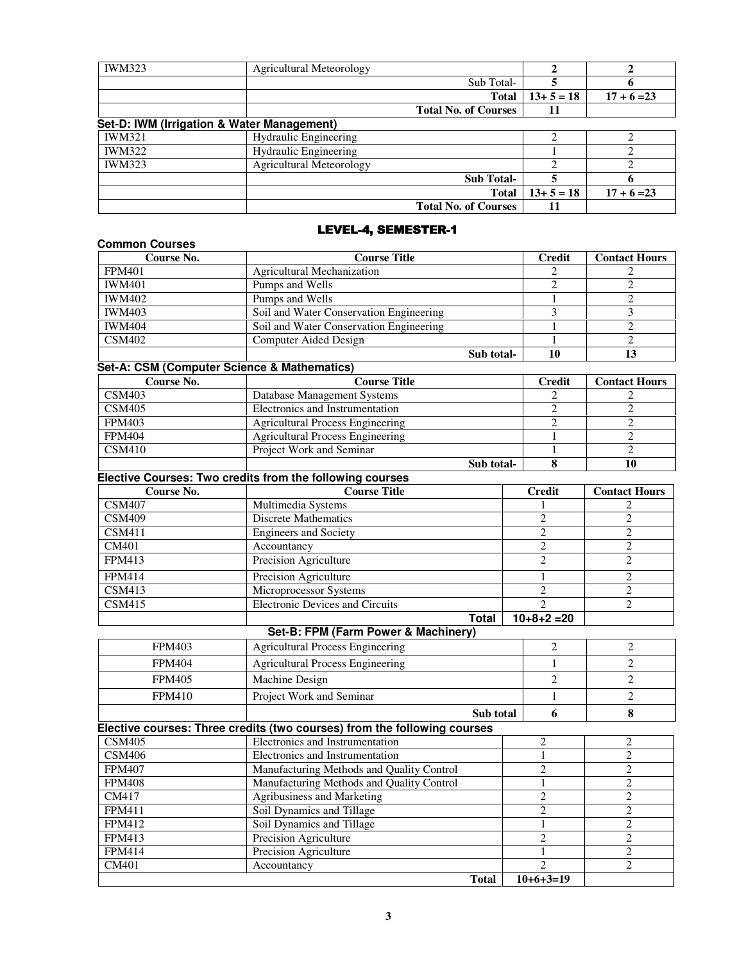| <b>IWM323</b> | <b>Agricultural Meteorology</b>            |                             |           |               |
|---------------|--------------------------------------------|-----------------------------|-----------|---------------|
|               |                                            | Sub Total-                  |           |               |
|               |                                            | <b>Total</b>                | $13+5=18$ | $17 + 6 = 23$ |
|               |                                            | <b>Total No. of Courses</b> | 11        |               |
|               | Set-D: IWM (Irrigation & Water Management) |                             |           |               |
| <b>IWM321</b> | Hydraulic Engineering                      |                             | ◠         |               |
| <b>IWM322</b> | <b>Hydraulic Engineering</b>               |                             |           |               |
| <b>IWM323</b> | <b>Agricultural Meteorology</b>            |                             | ◠         |               |
|               |                                            | <b>Sub Total-</b>           |           |               |
|               |                                            | <b>Total</b>                | $13+5=18$ | $17 + 6 = 23$ |
|               |                                            | <b>Total No. of Courses</b> | 11        |               |

# LEVEL-4, SEMESTER-1

| <b>Common Courses</b> |                                                                          |            |                             |                      |
|-----------------------|--------------------------------------------------------------------------|------------|-----------------------------|----------------------|
| Course No.            | <b>Course Title</b>                                                      |            | <b>Credit</b>               | <b>Contact Hours</b> |
| <b>FPM401</b>         | <b>Agricultural Mechanization</b>                                        |            | 2                           | $\overline{c}$       |
| <b>IWM401</b>         | Pumps and Wells                                                          |            | $\overline{2}$              | $\overline{c}$       |
| <b>IWM402</b>         | Pumps and Wells                                                          |            | $\mathbf{1}$                | $\overline{2}$       |
| <b>IWM403</b>         | Soil and Water Conservation Engineering                                  |            | 3                           | 3                    |
| <b>IWM404</b>         | Soil and Water Conservation Engineering                                  |            | 1                           | $\overline{2}$       |
| <b>CSM402</b>         | <b>Computer Aided Design</b>                                             |            | 1                           | $\overline{2}$       |
|                       |                                                                          | Sub total- | 10                          | 13                   |
|                       | Set-A: CSM (Computer Science & Mathematics)                              |            |                             |                      |
| Course No.            | <b>Course Title</b>                                                      |            | <b>Credit</b>               | <b>Contact Hours</b> |
| <b>CSM403</b>         | Database Management Systems                                              |            | 2                           | 2                    |
| <b>CSM405</b>         | Electronics and Instrumentation                                          |            | $\overline{2}$              | $\overline{2}$       |
| <b>FPM403</b>         | <b>Agricultural Process Engineering</b>                                  |            | $\overline{c}$              | $\overline{c}$       |
| <b>FPM404</b>         | <b>Agricultural Process Engineering</b>                                  |            | 1                           | $\mathfrak{2}$       |
| <b>CSM410</b>         | Project Work and Seminar                                                 |            | 1                           | $\overline{2}$       |
|                       |                                                                          | Sub total- | 8                           | 10                   |
|                       | Elective Courses: Two credits from the following courses                 |            |                             |                      |
| Course No.            | <b>Course Title</b>                                                      |            | <b>Credit</b>               | <b>Contact Hours</b> |
| <b>CSM407</b>         | Multimedia Systems                                                       |            |                             | 2                    |
| <b>CSM409</b>         | <b>Discrete Mathematics</b>                                              |            | $\overline{c}$              | $\overline{c}$       |
| <b>CSM411</b>         | <b>Engineers and Society</b>                                             |            | $\overline{2}$              | $\overline{2}$       |
| CM401                 | Accountancy                                                              |            | $\overline{2}$              | 2                    |
| <b>FPM413</b>         | Precision Agriculture                                                    |            | $\overline{2}$              | $\overline{2}$       |
| <b>FPM414</b>         | Precision Agriculture                                                    |            | 1                           | 2                    |
| <b>CSM413</b>         | Microprocessor Systems                                                   |            | $\overline{2}$              | $\overline{c}$       |
| <b>CSM415</b>         | <b>Electronic Devices and Circuits</b>                                   |            | $\mathfrak{D}$              | 2                    |
|                       | <b>Total</b>                                                             |            | $10+8+2=20$                 |                      |
|                       | Set-B: FPM (Farm Power & Machinery)                                      |            |                             |                      |
| <b>FPM403</b>         | <b>Agricultural Process Engineering</b>                                  |            | $\overline{c}$              | $\overline{2}$       |
| <b>FPM404</b>         | <b>Agricultural Process Engineering</b>                                  |            | $\mathbf{1}$                | $\overline{2}$       |
| <b>FPM405</b>         | Machine Design                                                           |            | $\overline{c}$              | $\overline{2}$       |
| <b>FPM410</b>         | Project Work and Seminar                                                 |            | 1                           | $\overline{2}$       |
|                       |                                                                          | Sub total  | 6                           | 8                    |
|                       | Elective courses: Three credits (two courses) from the following courses |            |                             |                      |
| <b>CSM405</b>         | Electronics and Instrumentation                                          |            | $\boldsymbol{2}$            | $\overline{c}$       |
| <b>CSM406</b>         | Electronics and Instrumentation                                          |            | $\mathbf{1}$                | $\mathbf{2}$         |
| <b>FPM407</b>         | Manufacturing Methods and Quality Control                                |            | $\overline{2}$              | $\overline{2}$       |
| FPM408                | Manufacturing Methods and Quality Control                                |            | 1                           | 2                    |
| CM417                 | Agribusiness and Marketing                                               |            | $\sqrt{2}$                  | $\overline{2}$       |
| FPM411                | Soil Dynamics and Tillage                                                |            | $\mathbf{2}$                | 2                    |
| FPM412                | Soil Dynamics and Tillage                                                |            | $\mathbf{1}$                | $\overline{2}$       |
| FPM413                | Precision Agriculture                                                    |            | $\overline{2}$              | $\overline{2}$       |
| FPM414                | Precision Agriculture                                                    |            | $\mathbf{1}$                | $\overline{2}$       |
| CM401                 | Accountancy                                                              |            | $\mathcal{D}_{\mathcal{L}}$ | $\overline{2}$       |
|                       |                                                                          | Total      | $10+6+3=19$                 |                      |

**Total** 10+6+3=19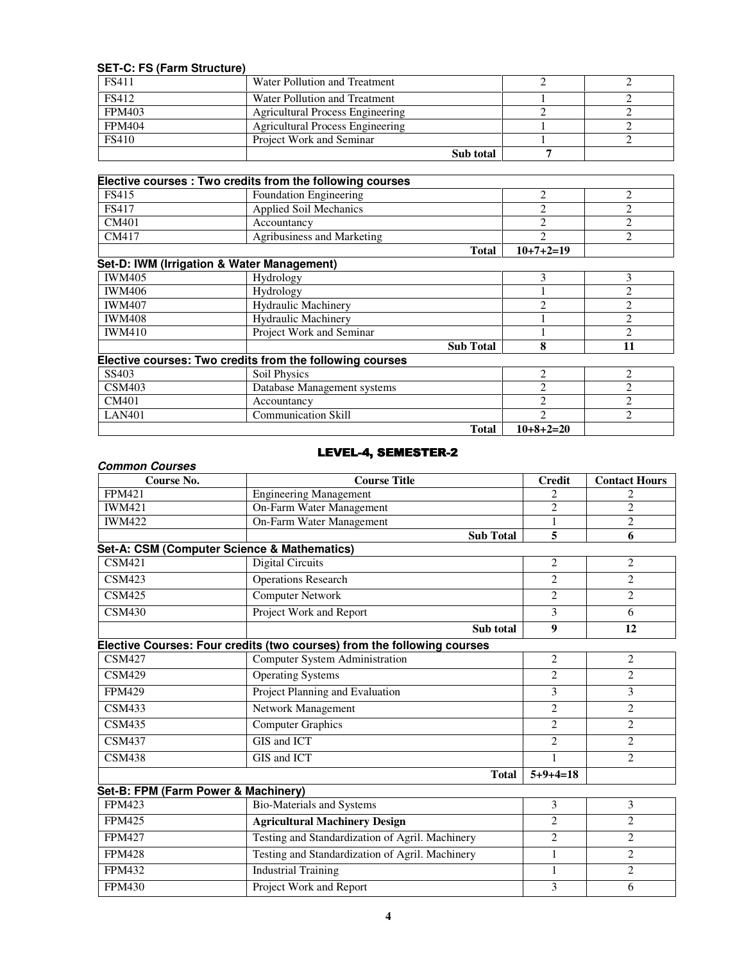### **SET-C: FS (Farm Structure)**

Ξ

| <b>FS411</b>  | Water Pollution and Treatment    |  |
|---------------|----------------------------------|--|
| <b>FS412</b>  | Water Pollution and Treatment    |  |
| <b>FPM403</b> | Agricultural Process Engineering |  |
| <b>FPM404</b> | Agricultural Process Engineering |  |
| <b>FS410</b>  | Project Work and Seminar         |  |
|               | Sub total                        |  |

|              | Elective courses: Two credits from the following courses |             |  |
|--------------|----------------------------------------------------------|-------------|--|
| FS415        | <b>Foundation Engineering</b>                            |             |  |
| <b>FS417</b> | <b>Applied Soil Mechanics</b>                            |             |  |
| CM401        | Accountancy                                              |             |  |
| CM417        | Agribusiness and Marketing                               |             |  |
|              | <b>Total</b>                                             | $10+7+2=19$ |  |

# **Set-D: IWM (Irrigation & Water Management)**

| <b>IWM405</b> | Hydrology                                                |   |    |
|---------------|----------------------------------------------------------|---|----|
| <b>IWM406</b> | <b>Hydrology</b>                                         |   |    |
| <b>IWM407</b> | <b>Hydraulic Machinery</b>                               | ◠ | ◠  |
| <b>IWM408</b> | <b>Hydraulic Machinery</b>                               |   | ◠  |
| <b>IWM410</b> | Project Work and Seminar                                 |   |    |
|               | <b>Sub Total</b>                                         | 8 | 11 |
|               |                                                          |   |    |
|               | Elective courses: Two credits from the following courses |   |    |
| SS403         | Soil Physics                                             |   |    |
| CSM403        | Database Management systems                              |   | ◠  |
| CM401         | Accountancy                                              | ↑ | ↑  |
| <b>LAN401</b> | <b>Communication Skill</b>                               | ↑ | ↑  |

#### LEVEL-4, SEMESTER-2

#### **Common Courses**

| Course No.                                  | <b>Course Title</b>                                                     | <b>Credit</b>          | <b>Contact Hours</b> |
|---------------------------------------------|-------------------------------------------------------------------------|------------------------|----------------------|
| <b>FPM421</b>                               | <b>Engineering Management</b>                                           | 2                      | 2                    |
| <b>IWM421</b>                               | On-Farm Water Management                                                | $\overline{2}$         | $\overline{c}$       |
| <b>IWM422</b>                               | On-Farm Water Management                                                |                        | $\overline{2}$       |
|                                             | <b>Sub Total</b>                                                        | 5                      | 6                    |
| Set-A: CSM (Computer Science & Mathematics) |                                                                         |                        |                      |
| <b>CSM421</b>                               | <b>Digital Circuits</b>                                                 | 2                      | $\overline{2}$       |
| <b>CSM423</b>                               | <b>Operations Research</b>                                              | $\mathcal{D}_{\alpha}$ | $\overline{2}$       |
| <b>CSM425</b>                               | <b>Computer Network</b>                                                 | $\mathcal{D}_{\alpha}$ | $\overline{c}$       |
| <b>CSM430</b>                               | Project Work and Report                                                 | 3                      | 6                    |
|                                             | Sub total                                                               | $\boldsymbol{9}$       | 12                   |
|                                             | Elective Courses: Four credits (two courses) from the following courses |                        |                      |
| <b>CSM427</b>                               | <b>Computer System Administration</b>                                   | $\overline{2}$         | $\overline{2}$       |
| <b>CSM429</b>                               | <b>Operating Systems</b>                                                | $\overline{2}$         | $\overline{c}$       |
| <b>FPM429</b>                               | Project Planning and Evaluation                                         | 3                      | 3                    |
| <b>CSM433</b>                               | Network Management                                                      | $\overline{2}$         | $\overline{2}$       |
| <b>CSM435</b>                               | <b>Computer Graphics</b>                                                | $\overline{c}$         | 2                    |
| <b>CSM437</b>                               | GIS and ICT                                                             | $\mathfrak{D}$         | $\overline{c}$       |
| <b>CSM438</b>                               | GIS and ICT                                                             |                        | $\overline{c}$       |
|                                             | <b>Total</b>                                                            | $5+9+4=18$             |                      |
| Set-B: FPM (Farm Power & Machinery)         |                                                                         |                        |                      |
| <b>FPM423</b>                               | <b>Bio-Materials and Systems</b>                                        | 3                      | 3                    |
| <b>FPM425</b>                               | <b>Agricultural Machinery Design</b>                                    | $\overline{2}$         | $\overline{2}$       |
| <b>FPM427</b>                               | Testing and Standardization of Agril. Machinery                         | $\overline{2}$         | $\overline{c}$       |
| <b>FPM428</b>                               | Testing and Standardization of Agril. Machinery                         |                        | $\overline{c}$       |

FPM432 Industrial Training 1 2 FPM430 Project Work and Report 3 6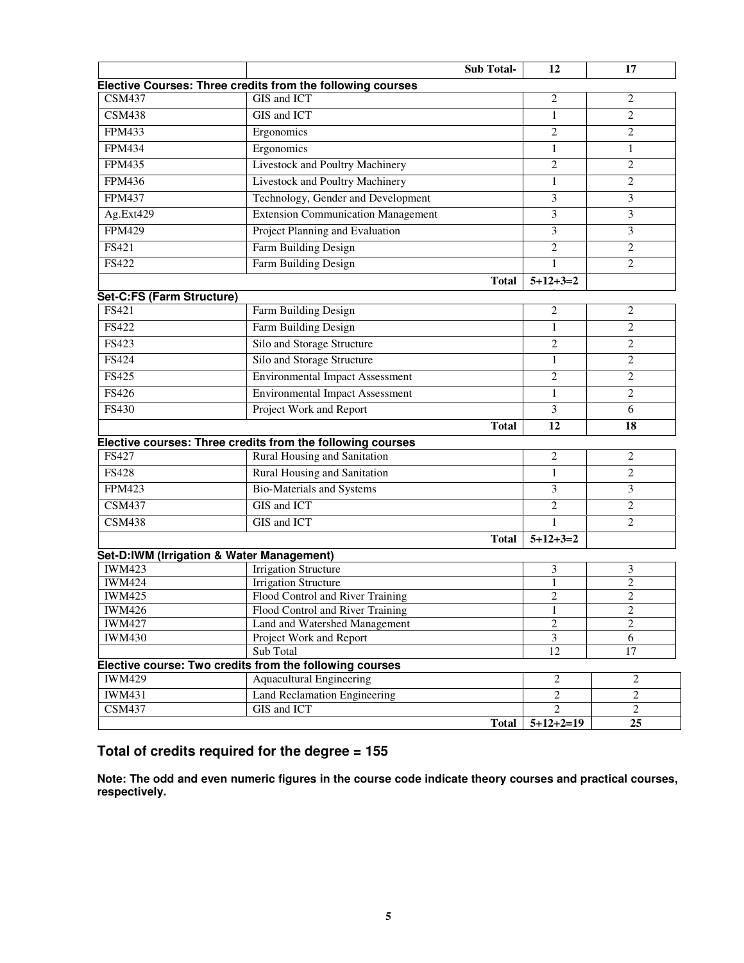|                           |                                                            | <b>Sub Total-</b> | 12                            | 17                                |
|---------------------------|------------------------------------------------------------|-------------------|-------------------------------|-----------------------------------|
|                           | Elective Courses: Three credits from the following courses |                   |                               |                                   |
| <b>CSM437</b>             | <b>GIS</b> and <b>ICT</b>                                  |                   | $\overline{2}$                | 2                                 |
| <b>CSM438</b>             | GIS and ICT                                                |                   | $\mathbf{1}$                  | $\overline{2}$                    |
| <b>FPM433</b>             | Ergonomics                                                 |                   | $\overline{2}$                | $\overline{c}$                    |
| <b>FPM434</b>             | Ergonomics                                                 |                   | $\mathbf{1}$                  | $\mathbf{1}$                      |
| <b>FPM435</b>             | Livestock and Poultry Machinery                            |                   | $\sqrt{2}$                    | $\sqrt{2}$                        |
| <b>FPM436</b>             | Livestock and Poultry Machinery                            |                   | $\mathbf{1}$                  | $\overline{2}$                    |
| <b>FPM437</b>             | Technology, Gender and Development                         |                   | 3                             | 3                                 |
| $Ag.Ex$ t $429$           | <b>Extension Communication Management</b>                  |                   | 3                             | 3                                 |
| <b>FPM429</b>             | Project Planning and Evaluation                            |                   | 3                             | 3                                 |
| <b>FS421</b>              | Farm Building Design                                       |                   | $\overline{2}$                | $\overline{2}$                    |
| FS422                     | Farm Building Design                                       |                   | $\mathbf{1}$                  | $\overline{2}$                    |
|                           |                                                            | <b>Total</b>      | $5+12+3=2$                    |                                   |
| Set-C:FS (Farm Structure) |                                                            |                   |                               |                                   |
| FS421                     | Farm Building Design                                       |                   | $\sqrt{2}$                    | $\overline{c}$                    |
| <b>FS422</b>              | Farm Building Design                                       |                   | $\mathbf{1}$                  | $\overline{c}$                    |
| <b>FS423</b>              | Silo and Storage Structure                                 |                   | $\overline{2}$                | $\overline{c}$                    |
| <b>FS424</b>              | Silo and Storage Structure                                 |                   | 1                             | $\overline{c}$                    |
| <b>FS425</b>              | <b>Environmental Impact Assessment</b>                     |                   | $\overline{2}$                | 2                                 |
| <b>FS426</b>              | <b>Environmental Impact Assessment</b>                     |                   | $\mathbf{1}$                  | $\overline{2}$                    |
| <b>FS430</b>              | Project Work and Report                                    |                   | 3                             | 6                                 |
|                           |                                                            | <b>Total</b>      | 12                            | 18                                |
|                           | Elective courses: Three credits from the following courses |                   |                               |                                   |
| FS427                     | Rural Housing and Sanitation                               |                   | $\overline{2}$                | 2                                 |
| <b>FS428</b>              | Rural Housing and Sanitation                               |                   | $\mathbf{1}$                  | $\overline{c}$                    |
| <b>FPM423</b>             | <b>Bio-Materials and Systems</b>                           |                   | 3                             | 3                                 |
| <b>CSM437</b>             | GIS and ICT                                                |                   | $\overline{c}$                | $\overline{c}$                    |
| <b>CSM438</b>             | GIS and ICT                                                |                   | 1                             | $\overline{2}$                    |
|                           |                                                            | <b>Total</b>      | $5+12+3=2$                    |                                   |
|                           | Set-D:IWM (Irrigation & Water Management)                  |                   |                               |                                   |
| <b>IWM423</b>             | <b>Irrigation Structure</b>                                |                   | 3                             | 3                                 |
| <b>IWM424</b>             | <b>Irrigation Structure</b>                                |                   | 1                             | $\overline{c}$                    |
| <b>IWM425</b>             | Flood Control and River Training                           |                   | $\overline{c}$                | $\overline{c}$                    |
| <b>IWM426</b>             | Flood Control and River Training                           |                   | 1                             | 2                                 |
| <b>IWM427</b>             | Land and Watershed Management                              |                   | 2                             | $\overline{2}$                    |
| <b>IWM430</b>             | Project Work and Report                                    |                   | 3                             | 6                                 |
|                           | Sub Total                                                  |                   | 12                            | 17                                |
|                           | Elective course: Two credits from the following courses    |                   |                               |                                   |
| <b>IWM429</b>             | <b>Aquacultural Engineering</b>                            |                   | 2                             | 2                                 |
| <b>IWM431</b>             | Land Reclamation Engineering                               |                   | $\overline{2}$                | $\overline{2}$                    |
| <b>CSM437</b>             | GIS and ICT                                                |                   | $\overline{2}$<br>$5+12+2=19$ | $\overline{2}$<br>$\overline{25}$ |
|                           |                                                            | <b>Total</b>      |                               |                                   |

# **Total of credits required for the degree = 155**

**Note: The odd and even numeric figures in the course code indicate theory courses and practical courses, respectively.**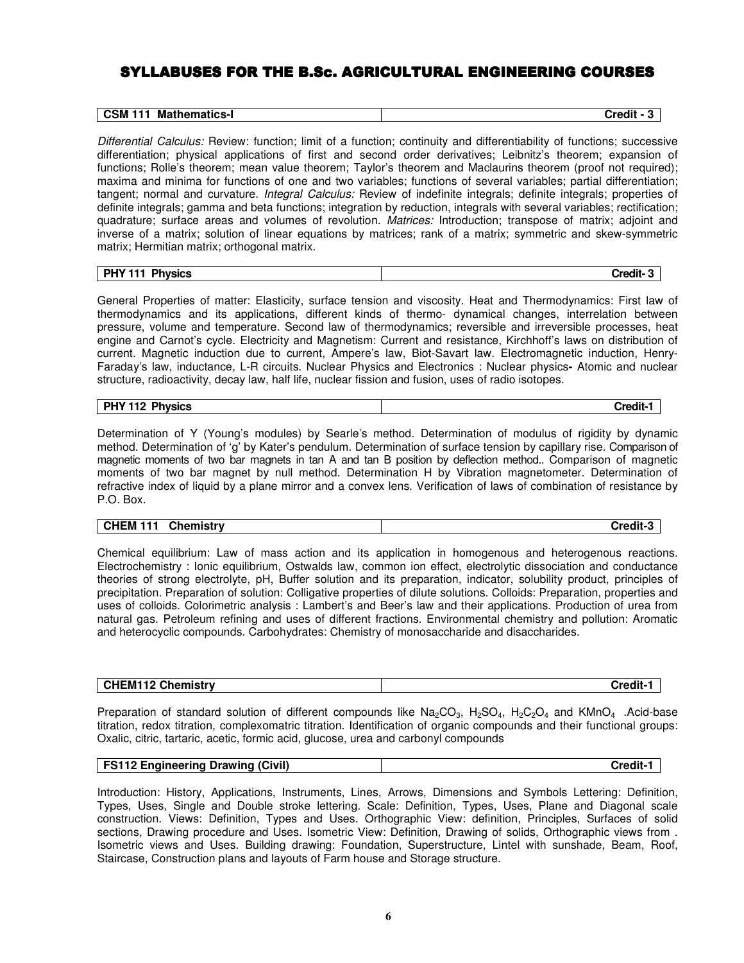# SYLLABUSES FOR THE B.Sc. AGRICULTURAL ENGINEERING COURSES

| <b>CSM 111</b>       |               |
|----------------------|---------------|
| <b>Mathematics-I</b> | <b>Credit</b> |

Differential Calculus: Review: function; limit of a function; continuity and differentiability of functions; successive differentiation; physical applications of first and second order derivatives; Leibnitz's theorem; expansion of functions; Rolle's theorem; mean value theorem; Taylor's theorem and Maclaurins theorem (proof not required); maxima and minima for functions of one and two variables; functions of several variables; partial differentiation; tangent; normal and curvature. Integral Calculus: Review of indefinite integrals; definite integrals; properties of definite integrals; gamma and beta functions; integration by reduction, integrals with several variables; rectification; quadrature; surface areas and volumes of revolution. Matrices: Introduction; transpose of matrix; adjoint and inverse of a matrix; solution of linear equations by matrices; rank of a matrix; symmetric and skew-symmetric matrix; Hermitian matrix; orthogonal matrix.

| <b>Physics</b> | $\sim$ and it.  |
|----------------|-----------------|
| <b>PHY 111</b> | - - - - - - - - |

General Properties of matter: Elasticity, surface tension and viscosity. Heat and Thermodynamics: First law of thermodynamics and its applications, different kinds of thermo- dynamical changes, interrelation between pressure, volume and temperature. Second law of thermodynamics; reversible and irreversible processes, heat engine and Carnot's cycle. Electricity and Magnetism: Current and resistance, Kirchhoff's laws on distribution of current. Magnetic induction due to current, Ampere's law, Biot-Savart law. Electromagnetic induction, Henry-Faraday's law, inductance, L-R circuits. Nuclear Physics and Electronics : Nuclear physics**-** Atomic and nuclear structure, radioactivity, decay law, half life, nuclear fission and fusion, uses of radio isotopes.

# **PHY 112 Physics Credit-1**

Determination of Y (Young's modules) by Searle's method. Determination of modulus of rigidity by dynamic method. Determination of 'g' by Kater's pendulum. Determination of surface tension by capillary rise. Comparison of magnetic moments of two bar magnets in tan A and tan B position by deflection method.. Comparison of magnetic moments of two bar magnet by null method. Determination H by Vibration magnetometer. Determination of refractive index of liquid by a plane mirror and a convex lens. Verification of laws of combination of resistance by P.O. Box.

| <b>Chemistry</b><br><b>CHEM</b> |
|---------------------------------|
|---------------------------------|

Chemical equilibrium: Law of mass action and its application in homogenous and heterogenous reactions. Electrochemistry : Ionic equilibrium, Ostwalds law, common ion effect, electrolytic dissociation and conductance theories of strong electrolyte, pH, Buffer solution and its preparation, indicator, solubility product, principles of precipitation. Preparation of solution: Colligative properties of dilute solutions. Colloids: Preparation, properties and uses of colloids. Colorimetric analysis : Lambert's and Beer's law and their applications. Production of urea from natural gas. Petroleum refining and uses of different fractions. Environmental chemistry and pollution: Aromatic and heterocyclic compounds. Carbohydrates: Chemistry of monosaccharide and disaccharides.

| <b>CHEM112 Chemistry</b> | Credit- |
|--------------------------|---------|
|                          |         |

Preparation of standard solution of different compounds like  $Na_2CO_3$ ,  $H_2SO_4$ ,  $H_2C_2O_4$  and KMnO<sub>4</sub> . Acid-base titration, redox titration, complexomatric titration. Identification of organic compounds and their functional groups: Oxalic, citric, tartaric, acetic, formic acid, glucose, urea and carbonyl compounds

| <b>FS112 Engineering Drawing (Civil)</b> | Credit-1 |
|------------------------------------------|----------|
|------------------------------------------|----------|

Introduction: History, Applications, Instruments, Lines, Arrows, Dimensions and Symbols Lettering: Definition, Types, Uses, Single and Double stroke lettering. Scale: Definition, Types, Uses, Plane and Diagonal scale construction. Views: Definition, Types and Uses. Orthographic View: definition, Principles, Surfaces of solid sections, Drawing procedure and Uses. Isometric View: Definition, Drawing of solids, Orthographic views from . Isometric views and Uses. Building drawing: Foundation, Superstructure, Lintel with sunshade, Beam, Roof, Staircase, Construction plans and layouts of Farm house and Storage structure.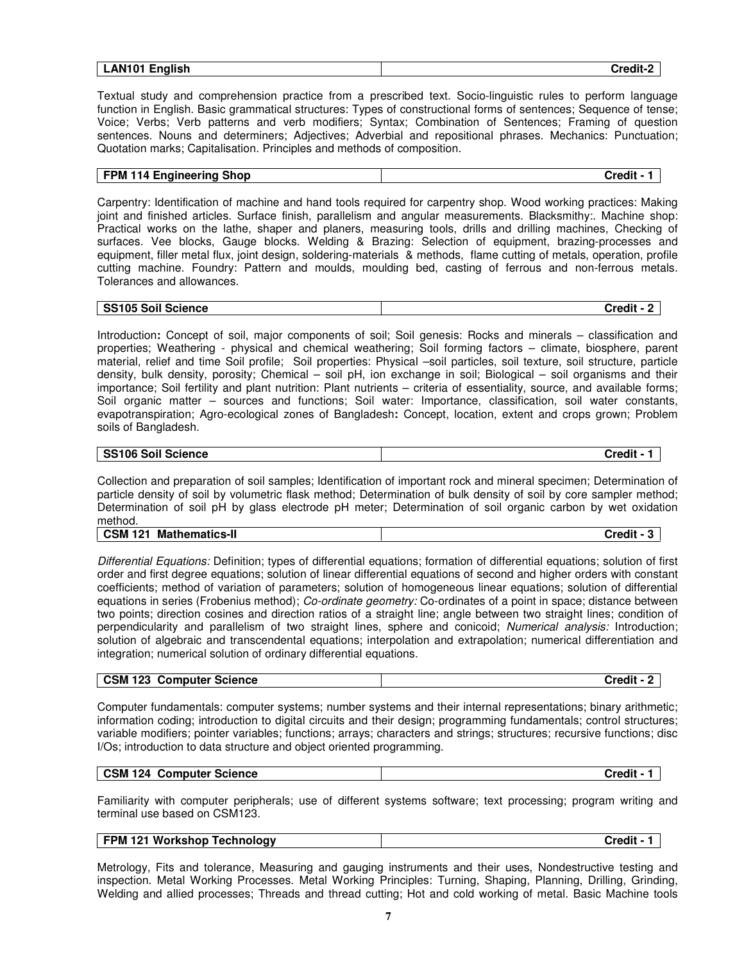| <b>English</b><br>AN101<br>-------<br>$-$ | <br>∵redit. |
|-------------------------------------------|-------------|

Textual study and comprehension practice from a prescribed text. Socio-linguistic rules to perform language function in English. Basic grammatical structures: Types of constructional forms of sentences: Sequence of tense; Voice; Verbs; Verb patterns and verb modifiers; Syntax; Combination of Sentences; Framing of question sentences. Nouns and determiners; Adjectives; Adverbial and repositional phrases. Mechanics: Punctuation; Quotation marks; Capitalisation. Principles and methods of composition.

| FPM 114 Engineering Shop | Credit - 1 |
|--------------------------|------------|
|--------------------------|------------|

Carpentry: Identification of machine and hand tools required for carpentry shop. Wood working practices: Making joint and finished articles. Surface finish, parallelism and angular measurements. Blacksmithy:. Machine shop: Practical works on the lathe, shaper and planers, measuring tools, drills and drilling machines, Checking of surfaces. Vee blocks, Gauge blocks. Welding & Brazing: Selection of equipment, brazing-processes and equipment, filler metal flux, joint design, soldering-materials & methods, flame cutting of metals, operation, profile cutting machine. Foundry: Pattern and moulds, moulding bed, casting of ferrous and non-ferrous metals. Tolerances and allowances.

| SS105 Soil Science | <b>Credit</b> |
|--------------------|---------------|

Introduction**:** Concept of soil, major components of soil; Soil genesis: Rocks and minerals – classification and properties; Weathering - physical and chemical weathering; Soil forming factors – climate, biosphere, parent material, relief and time Soil profile; Soil properties: Physical –soil particles, soil texture, soil structure, particle density, bulk density, porosity; Chemical – soil pH, ion exchange in soil; Biological – soil organisms and their importance; Soil fertility and plant nutrition: Plant nutrients – criteria of essentiality, source, and available forms; Soil organic matter – sources and functions; Soil water: Importance, classification, soil water constants, evapotranspiration; Agro-ecological zones of Bangladesh**:** Concept, location, extent and crops grown; Problem soils of Bangladesh.

## **SS106 Soil Science Credit - 1**

Collection and preparation of soil samples; Identification of important rock and mineral specimen; Determination of particle density of soil by volumetric flask method; Determination of bulk density of soil by core sampler method; Determination of soil pH by glass electrode pH meter; Determination of soil organic carbon by wet oxidation method.

| `าthema.<br>Ма⊾<br>GSM :<br>. .<br>. |
|--------------------------------------|
|--------------------------------------|

Differential Equations: Definition; types of differential equations; formation of differential equations; solution of first order and first degree equations; solution of linear differential equations of second and higher orders with constant coefficients; method of variation of parameters; solution of homogeneous linear equations; solution of differential equations in series (Frobenius method); Co-ordinate geometry: Co-ordinates of a point in space; distance between two points; direction cosines and direction ratios of a straight line; angle between two straight lines; condition of perpendicularity and parallelism of two straight lines, sphere and conicoid; Numerical analysis: Introduction; solution of algebraic and transcendental equations; interpolation and extrapolation; numerical differentiation and integration; numerical solution of ordinary differential equations.

| 102<br><b>CSM</b><br><b>Computer Science</b><br>123 | .<br><b></b> |
|-----------------------------------------------------|--------------|
|-----------------------------------------------------|--------------|

Computer fundamentals: computer systems; number systems and their internal representations; binary arithmetic; information coding; introduction to digital circuits and their design; programming fundamentals; control structures; variable modifiers; pointer variables; functions; arrays; characters and strings; structures; recursive functions; disc I/Os; introduction to data structure and object oriented programming.

| CSM 124 Computer Science | Credit - |
|--------------------------|----------|
|--------------------------|----------|

Familiarity with computer peripherals; use of different systems software; text processing; program writing and terminal use based on CSM123.

| FPM 121 Workshop Technology | Credit |
|-----------------------------|--------|
|                             |        |

Metrology, Fits and tolerance, Measuring and gauging instruments and their uses, Nondestructive testing and inspection. Metal Working Processes. Metal Working Principles: Turning, Shaping, Planning, Drilling, Grinding, Welding and allied processes; Threads and thread cutting; Hot and cold working of metal. Basic Machine tools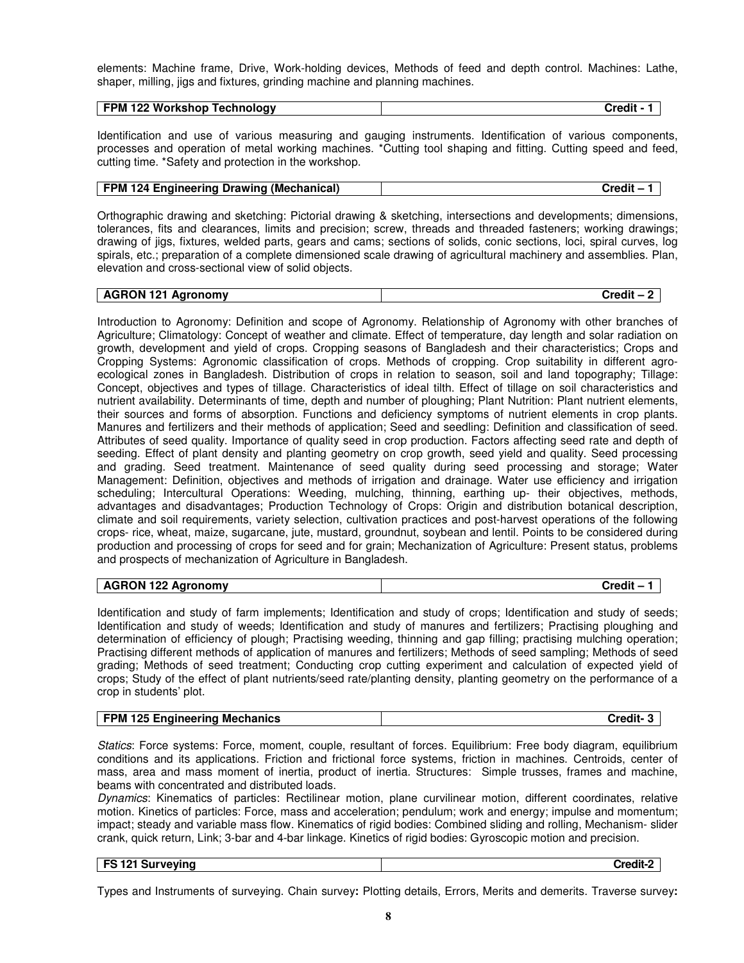elements: Machine frame, Drive, Work-holding devices, Methods of feed and depth control. Machines: Lathe, shaper, milling, jigs and fixtures, grinding machine and planning machines.

| Technology<br>`*^^it<br>- IVI<br>-00<br>. . | 122 Workshop<br><b>FPM</b> |  |
|---------------------------------------------|----------------------------|--|
|---------------------------------------------|----------------------------|--|

Identification and use of various measuring and gauging instruments. Identification of various components, processes and operation of metal working machines. \*Cutting tool shaping and fitting. Cutting speed and feed, cutting time. \*Safety and protection in the workshop.

Orthographic drawing and sketching: Pictorial drawing & sketching, intersections and developments; dimensions, tolerances, fits and clearances, limits and precision; screw, threads and threaded fasteners; working drawings; drawing of jigs, fixtures, welded parts, gears and cams; sections of solids, conic sections, loci, spiral curves, log spirals, etc.; preparation of a complete dimensioned scale drawing of agricultural machinery and assemblies. Plan, elevation and cross-sectional view of solid objects.

| <b>AGRON 121</b><br>Agronomy | Credit - |
|------------------------------|----------|
|                              |          |

Introduction to Agronomy: Definition and scope of Agronomy. Relationship of Agronomy with other branches of Agriculture; Climatology: Concept of weather and climate. Effect of temperature, day length and solar radiation on growth, development and yield of crops. Cropping seasons of Bangladesh and their characteristics; Crops and Cropping Systems: Agronomic classification of crops. Methods of cropping. Crop suitability in different agroecological zones in Bangladesh. Distribution of crops in relation to season, soil and land topography; Tillage: Concept, objectives and types of tillage. Characteristics of ideal tilth. Effect of tillage on soil characteristics and nutrient availability. Determinants of time, depth and number of ploughing; Plant Nutrition: Plant nutrient elements, their sources and forms of absorption. Functions and deficiency symptoms of nutrient elements in crop plants. Manures and fertilizers and their methods of application; Seed and seedling: Definition and classification of seed. Attributes of seed quality. Importance of quality seed in crop production. Factors affecting seed rate and depth of seeding. Effect of plant density and planting geometry on crop growth, seed yield and quality. Seed processing and grading. Seed treatment. Maintenance of seed quality during seed processing and storage; Water Management: Definition, objectives and methods of irrigation and drainage. Water use efficiency and irrigation scheduling; Intercultural Operations: Weeding, mulching, thinning, earthing up- their objectives, methods, advantages and disadvantages; Production Technology of Crops: Origin and distribution botanical description, climate and soil requirements, variety selection, cultivation practices and post-harvest operations of the following crops- rice, wheat, maize, sugarcane, jute, mustard, groundnut, soybean and lentil. Points to be considered during production and processing of crops for seed and for grain; Mechanization of Agriculture: Present status, problems and prospects of mechanization of Agriculture in Bangladesh.

|  | <b>AGRON 122</b><br>\aronomv<br>Aur<br>122 | --<br>tredit: |
|--|--------------------------------------------|---------------|
|--|--------------------------------------------|---------------|

Identification and study of farm implements; Identification and study of crops; Identification and study of seeds; Identification and study of weeds; Identification and study of manures and fertilizers; Practising ploughing and determination of efficiency of plough; Practising weeding, thinning and gap filling; practising mulching operation; Practising different methods of application of manures and fertilizers; Methods of seed sampling; Methods of seed grading; Methods of seed treatment; Conducting crop cutting experiment and calculation of expected yield of crops; Study of the effect of plant nutrients/seed rate/planting density, planting geometry on the performance of a crop in students' plot.

| <b>FPM 125 Engineering Mechanics</b> | Credit- |
|--------------------------------------|---------|
|--------------------------------------|---------|

Statics: Force systems: Force, moment, couple, resultant of forces. Equilibrium: Free body diagram, equilibrium conditions and its applications. Friction and frictional force systems, friction in machines. Centroids, center of mass, area and mass moment of inertia, product of inertia. Structures: Simple trusses, frames and machine, beams with concentrated and distributed loads.

Dynamics: Kinematics of particles: Rectilinear motion, plane curvilinear motion, different coordinates, relative motion. Kinetics of particles: Force, mass and acceleration; pendulum; work and energy; impulse and momentum; impact; steady and variable mass flow. Kinematics of rigid bodies: Combined sliding and rolling, Mechanism- slider crank, quick return, Link; 3-bar and 4-bar linkage. Kinetics of rigid bodies: Gyroscopic motion and precision.

# **FS 121 Surveying Credit-2**

Types and Instruments of surveying. Chain survey**:** Plotting details, Errors, Merits and demerits. Traverse survey**:**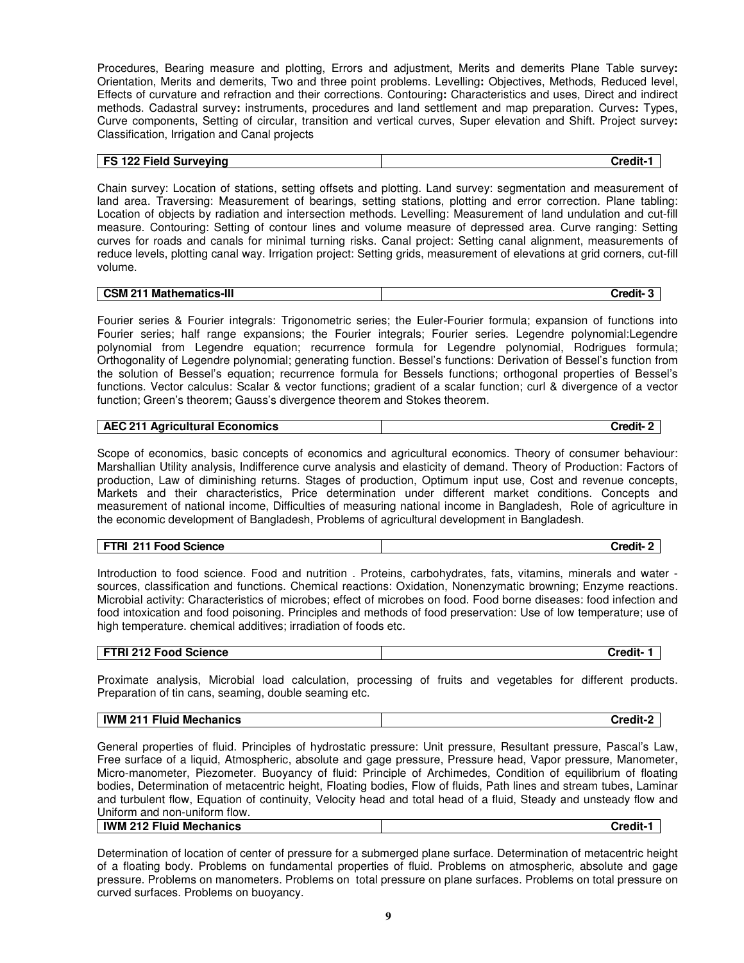Procedures, Bearing measure and plotting, Errors and adjustment, Merits and demerits Plane Table survey**:** Orientation, Merits and demerits, Two and three point problems. Levelling**:** Objectives, Methods, Reduced level, Effects of curvature and refraction and their corrections. Contouring**:** Characteristics and uses, Direct and indirect methods. Cadastral survey**:** instruments, procedures and land settlement and map preparation. Curves**:** Types, Curve components, Setting of circular, transition and vertical curves, Super elevation and Shift. Project survey**:** Classification, Irrigation and Canal projects

#### **FS 122 Field Surveying the contract of the contract of the contract of the contract of the contract of the contract of the contract of the contract of the contract of the contract of the contract of the contract of the co**

Chain survey: Location of stations, setting offsets and plotting. Land survey: segmentation and measurement of land area. Traversing: Measurement of bearings, setting stations, plotting and error correction. Plane tabling: Location of objects by radiation and intersection methods. Levelling: Measurement of land undulation and cut-fill measure. Contouring: Setting of contour lines and volume measure of depressed area. Curve ranging: Setting curves for roads and canals for minimal turning risks. Canal project: Setting canal alignment, measurements of reduce levels, plotting canal way. Irrigation project: Setting grids, measurement of elevations at grid corners, cut-fill volume.

|  | <b>CSM 211 Mathematics-III</b> | <b>Credit-</b> |
|--|--------------------------------|----------------|
|--|--------------------------------|----------------|

Fourier series & Fourier integrals: Trigonometric series; the Euler-Fourier formula; expansion of functions into Fourier series; half range expansions; the Fourier integrals; Fourier series. Legendre polynomial:Legendre polynomial from Legendre equation; recurrence formula for Legendre polynomial, Rodrigues formula; Orthogonality of Legendre polynomial; generating function. Bessel's functions: Derivation of Bessel's function from the solution of Bessel's equation; recurrence formula for Bessels functions; orthogonal properties of Bessel's functions. Vector calculus: Scalar & vector functions; gradient of a scalar function; curl & divergence of a vector function; Green's theorem; Gauss's divergence theorem and Stokes theorem.

| <b>AEC 211</b><br>∣ Agricultural Economics | √redit |
|--------------------------------------------|--------|

Scope of economics, basic concepts of economics and agricultural economics. Theory of consumer behaviour: Marshallian Utility analysis, Indifference curve analysis and elasticity of demand. Theory of Production: Factors of production, Law of diminishing returns. Stages of production, Optimum input use, Cost and revenue concepts, Markets and their characteristics, Price determination under different market conditions. Concepts and measurement of national income, Difficulties of measuring national income in Bangladesh, Role of agriculture in the economic development of Bangladesh, Problems of agricultural development in Bangladesh.

| FTRI 211 Food Science | Credit- |
|-----------------------|---------|
|-----------------------|---------|

Introduction to food science. Food and nutrition . Proteins, carbohydrates, fats, vitamins, minerals and water sources, classification and functions. Chemical reactions: Oxidation, Nonenzymatic browning; Enzyme reactions. Microbial activity: Characteristics of microbes; effect of microbes on food. Food borne diseases: food infection and food intoxication and food poisoning. Principles and methods of food preservation: Use of low temperature; use of high temperature. chemical additives; irradiation of foods etc.

| TRI 212 Food Science | ∴redit⊦ |
|----------------------|---------|
|                      |         |

Proximate analysis, Microbial load calculation, processing of fruits and vegetables for different products. Preparation of tin cans, seaming, double seaming etc.

|--|

General properties of fluid. Principles of hydrostatic pressure: Unit pressure, Resultant pressure, Pascal's Law, Free surface of a liquid, Atmospheric, absolute and gage pressure, Pressure head, Vapor pressure, Manometer, Micro-manometer, Piezometer. Buoyancy of fluid: Principle of Archimedes, Condition of equilibrium of floating bodies, Determination of metacentric height, Floating bodies, Flow of fluids, Path lines and stream tubes, Laminar and turbulent flow, Equation of continuity, Velocity head and total head of a fluid, Steady and unsteady flow and Uniform and non-uniform flow. **IWM 212 Fluid Mechanics Credit-1**

Determination of location of center of pressure for a submerged plane surface. Determination of metacentric height of a floating body. Problems on fundamental properties of fluid. Problems on atmospheric, absolute and gage pressure. Problems on manometers. Problems on total pressure on plane surfaces. Problems on total pressure on curved surfaces. Problems on buoyancy.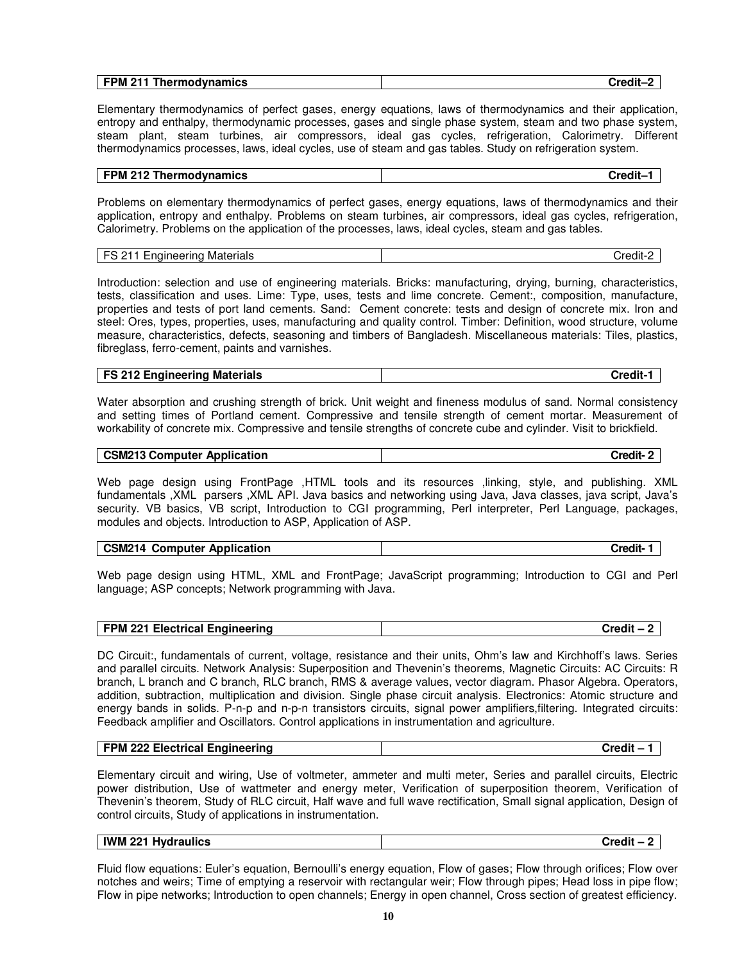| <b>FPM 211</b> | 'subdir |
|----------------|---------|
| Thermodynamics | .       |
|                |         |

Elementary thermodynamics of perfect gases, energy equations, laws of thermodynamics and their application, entropy and enthalpy, thermodynamic processes, gases and single phase system, steam and two phase system, steam plant, steam turbines, air compressors, ideal gas cycles, refrigeration, Calorimetry. Different thermodynamics processes, laws, ideal cycles, use of steam and gas tables. Study on refrigeration system.

| <b>FPM 212 Thermodynamics</b> | Credit- |
|-------------------------------|---------|

Problems on elementary thermodynamics of perfect gases, energy equations, laws of thermodynamics and their application, entropy and enthalpy. Problems on steam turbines, air compressors, ideal gas cycles, refrigeration, Calorimetry. Problems on the application of the processes, laws, ideal cycles, steam and gas tables.

| ------<br>-------<br>Materials<br><br>nai<br>™e.<br>ыкія<br><br>-<br>$- \cdot$ | $-0.0$ |
|--------------------------------------------------------------------------------|--------|
|                                                                                |        |

Introduction: selection and use of engineering materials. Bricks: manufacturing, drying, burning, characteristics, tests, classification and uses. Lime: Type, uses, tests and lime concrete. Cement:, composition, manufacture, properties and tests of port land cements. Sand: Cement concrete: tests and design of concrete mix. Iron and steel: Ores, types, properties, uses, manufacturing and quality control. Timber: Definition, wood structure, volume measure, characteristics, defects, seasoning and timbers of Bangladesh. Miscellaneous materials: Tiles, plastics, fibreglass, ferro-cement, paints and varnishes.

| <b>FS 212 Engineering Materials</b> | $\cdot$ . Follows $\cdot$ |
|-------------------------------------|---------------------------|

Water absorption and crushing strength of brick. Unit weight and fineness modulus of sand. Normal consistency and setting times of Portland cement. Compressive and tensile strength of cement mortar. Measurement of workability of concrete mix. Compressive and tensile strengths of concrete cube and cylinder. Visit to brickfield.

| <b>CSM213 Computer Application</b> | Credit- |
|------------------------------------|---------|
|------------------------------------|---------|

Web page design using FrontPage ,HTML tools and its resources ,linking, style, and publishing. XML fundamentals ,XML parsers ,XML API. Java basics and networking using Java, Java classes, java script, Java's security. VB basics, VB script, Introduction to CGI programming, Perl interpreter, Perl Language, packages, modules and objects. Introduction to ASP, Application of ASP.

| <b>CSM214 Computer Application</b> | Credit- |
|------------------------------------|---------|
|------------------------------------|---------|

Web page design using HTML, XML and FrontPage; JavaScript programming; Introduction to CGI and Perl language; ASP concepts; Network programming with Java.

| FPM 221 Electrical Engineering | <b>Credit</b> ⋅ |
|--------------------------------|-----------------|
|--------------------------------|-----------------|

DC Circuit:, fundamentals of current, voltage, resistance and their units, Ohm's law and Kirchhoff's laws. Series and parallel circuits. Network Analysis: Superposition and Thevenin's theorems, Magnetic Circuits: AC Circuits: R branch, L branch and C branch, RLC branch, RMS & average values, vector diagram. Phasor Algebra. Operators, addition, subtraction, multiplication and division. Single phase circuit analysis. Electronics: Atomic structure and energy bands in solids. P-n-p and n-p-n transistors circuits, signal power amplifiers,filtering. Integrated circuits: Feedback amplifier and Oscillators. Control applications in instrumentation and agriculture.

| FPM 222 Electrical Engineering |  |
|--------------------------------|--|
|                                |  |

Elementary circuit and wiring, Use of voltmeter, ammeter and multi meter, Series and parallel circuits, Electric power distribution, Use of wattmeter and energy meter, Verification of superposition theorem, Verification of Thevenin's theorem, Study of RLC circuit, Half wave and full wave rectification, Small signal application, Design of control circuits, Study of applications in instrumentation.

| <b>IWM 221</b><br>Hvdraulics | <br>Credit<br>. . |
|------------------------------|-------------------|
|                              |                   |

Fluid flow equations: Euler's equation, Bernoulli's energy equation, Flow of gases; Flow through orifices; Flow over notches and weirs; Time of emptying a reservoir with rectangular weir; Flow through pipes; Head loss in pipe flow; Flow in pipe networks; Introduction to open channels; Energy in open channel, Cross section of greatest efficiency.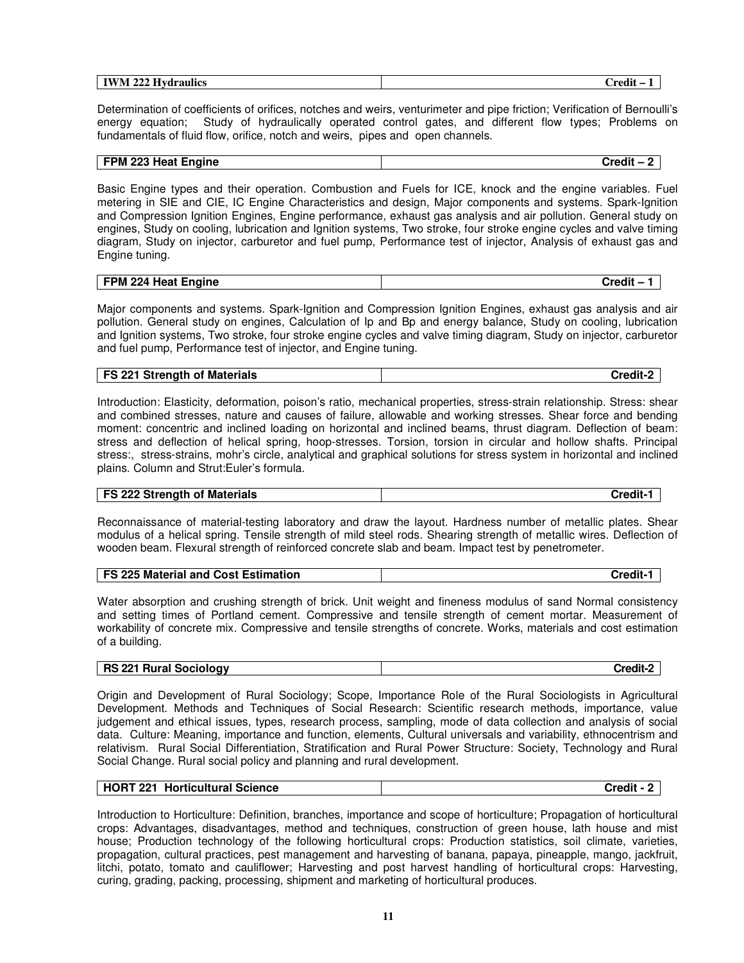| __<br>AA<br>$\blacksquare$<br>$-$<br><i>raulics</i><br>1 W.A<br>'NL<br>- I VA<br>-444 H | . .<br>__<br>`nodit<br>- |
|-----------------------------------------------------------------------------------------|--------------------------|
|                                                                                         |                          |

Determination of coefficients of orifices, notches and weirs, venturimeter and pipe friction; Verification of Bernoulli's energy equation; Study of hydraulically operated control gates, and different flow types; Problems on fundamentals of fluid flow, orifice, notch and weirs, pipes and open channels.

#### **FPM 223 Heat Engine Credit – 2**

Basic Engine types and their operation. Combustion and Fuels for ICE, knock and the engine variables. Fuel metering in SIE and CIE, IC Engine Characteristics and design, Major components and systems. Spark-Ignition and Compression Ignition Engines, Engine performance, exhaust gas analysis and air pollution. General study on engines, Study on cooling, lubrication and Ignition systems, Two stroke, four stroke engine cycles and valve timing diagram, Study on injector, carburetor and fuel pump, Performance test of injector, Analysis of exhaust gas and Engine tuning.

| FPM 224 Heat Engine | `waalii<br>-. |
|---------------------|---------------|

Major components and systems. Spark-Ignition and Compression Ignition Engines, exhaust gas analysis and air pollution. General study on engines, Calculation of Ip and Bp and energy balance, Study on cooling, lubrication and Ignition systems, Two stroke, four stroke engine cycles and valve timing diagram, Study on injector, carburetor and fuel pump, Performance test of injector, and Engine tuning.

| <b>FS 221 Strength of Materials</b> | Credit- |
|-------------------------------------|---------|
|                                     |         |

Introduction: Elasticity, deformation, poison's ratio, mechanical properties, stress-strain relationship. Stress: shear and combined stresses, nature and causes of failure, allowable and working stresses. Shear force and bending moment: concentric and inclined loading on horizontal and inclined beams, thrust diagram. Deflection of beam: stress and deflection of helical spring, hoop-stresses. Torsion, torsion in circular and hollow shafts. Principal stress:, stress-strains, mohr's circle, analytical and graphical solutions for stress system in horizontal and inclined plains. Column and Strut:Euler's formula.

| <b>FS 222 Strength of Materials</b> | Credit∙ |
|-------------------------------------|---------|
|                                     |         |

Reconnaissance of material-testing laboratory and draw the layout. Hardness number of metallic plates. Shear modulus of a helical spring. Tensile strength of mild steel rods. Shearing strength of metallic wires. Deflection of wooden beam. Flexural strength of reinforced concrete slab and beam. Impact test by penetrometer.

| FS 225 Material and Cost Estimation | Credit- |
|-------------------------------------|---------|
|                                     |         |

Water absorption and crushing strength of brick. Unit weight and fineness modulus of sand Normal consistency and setting times of Portland cement. Compressive and tensile strength of cement mortar. Measurement of workability of concrete mix. Compressive and tensile strengths of concrete. Works, materials and cost estimation of a building.

#### **RS 221 Rural Sociology Credit-2**

Origin and Development of Rural Sociology; Scope, Importance Role of the Rural Sociologists in Agricultural Development. Methods and Techniques of Social Research: Scientific research methods, importance, value judgement and ethical issues, types, research process, sampling, mode of data collection and analysis of social data. Culture: Meaning, importance and function, elements, Cultural universals and variability, ethnocentrism and relativism. Rural Social Differentiation, Stratification and Rural Power Structure: Society, Technology and Rural Social Change. Rural social policy and planning and rural development.

| HORT 221 Horticultural Science | Credit - 2 |
|--------------------------------|------------|
|--------------------------------|------------|

Introduction to Horticulture: Definition, branches, importance and scope of horticulture; Propagation of horticultural crops: Advantages, disadvantages, method and techniques, construction of green house, lath house and mist house; Production technology of the following horticultural crops: Production statistics, soil climate, varieties, propagation, cultural practices, pest management and harvesting of banana, papaya, pineapple, mango, jackfruit, litchi, potato, tomato and cauliflower; Harvesting and post harvest handling of horticultural crops: Harvesting, curing, grading, packing, processing, shipment and marketing of horticultural produces.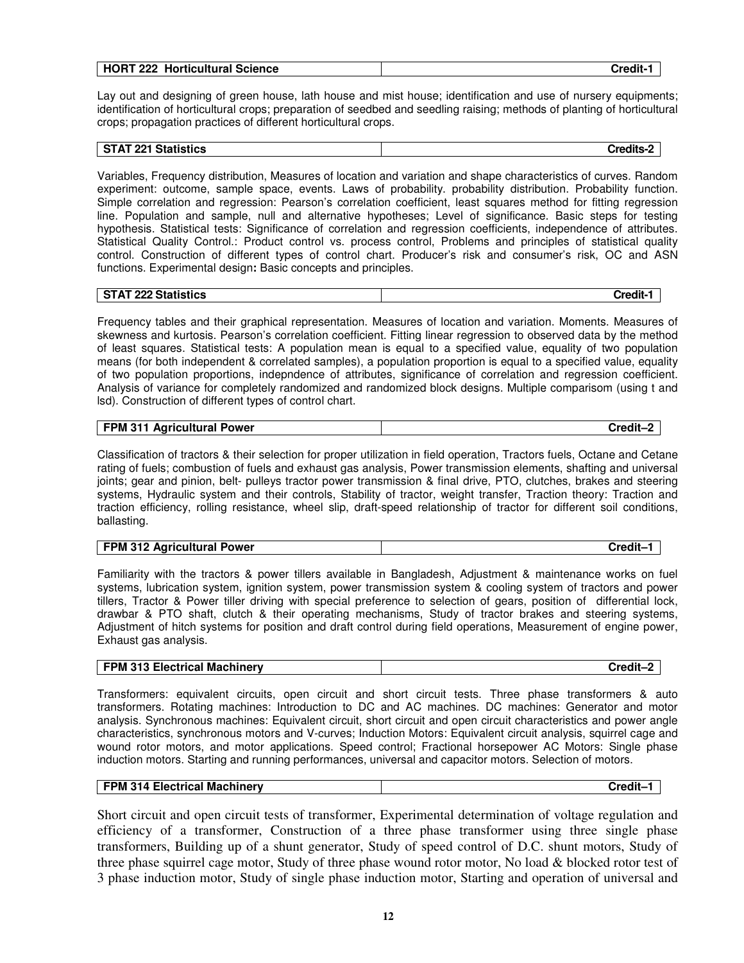| <b>HORT 222</b><br><b>Horticultural Science</b> | <b>Credit-</b> |
|-------------------------------------------------|----------------|
|                                                 |                |

Lay out and designing of green house, lath house and mist house; identification and use of nursery equipments; identification of horticultural crops; preparation of seedbed and seedling raising; methods of planting of horticultural crops; propagation practices of different horticultural crops.

# **STAT 221 Statistics Credits-2**

Variables, Frequency distribution, Measures of location and variation and shape characteristics of curves. Random experiment: outcome, sample space, events. Laws of probability. probability distribution. Probability function. Simple correlation and regression: Pearson's correlation coefficient, least squares method for fitting regression line. Population and sample, null and alternative hypotheses; Level of significance. Basic steps for testing hypothesis. Statistical tests: Significance of correlation and regression coefficients, independence of attributes. Statistical Quality Control.: Product control vs. process control, Problems and principles of statistical quality control. Construction of different types of control chart. Producer's risk and consumer's risk, OC and ASN functions. Experimental design**:** Basic concepts and principles.

|  | <b>STAT 222 Statistics</b><br>I ZZZ<br>. | `*^^it |
|--|------------------------------------------|--------|
|--|------------------------------------------|--------|

Frequency tables and their graphical representation. Measures of location and variation. Moments. Measures of skewness and kurtosis. Pearson's correlation coefficient. Fitting linear regression to observed data by the method of least squares. Statistical tests: A population mean is equal to a specified value, equality of two population means (for both independent & correlated samples), a population proportion is equal to a specified value, equality of two population proportions, indepndence of attributes, significance of correlation and regression coefficient. Analysis of variance for completely randomized and randomized block designs. Multiple comparisom (using t and lsd). Construction of different types of control chart.

| FPM 311 Agricultural Power | →rodit<br>urean |
|----------------------------|-----------------|

Classification of tractors & their selection for proper utilization in field operation, Tractors fuels, Octane and Cetane rating of fuels; combustion of fuels and exhaust gas analysis, Power transmission elements, shafting and universal joints; gear and pinion, belt- pulleys tractor power transmission & final drive, PTO, clutches, brakes and steering systems, Hydraulic system and their controls, Stability of tractor, weight transfer, Traction theory: Traction and traction efficiency, rolling resistance, wheel slip, draft-speed relationship of tractor for different soil conditions, ballasting.

| <b>FPM 312 Agricultural Power</b> | Credit- |
|-----------------------------------|---------|
|-----------------------------------|---------|

Familiarity with the tractors & power tillers available in Bangladesh, Adjustment & maintenance works on fuel systems, lubrication system, ignition system, power transmission system & cooling system of tractors and power tillers, Tractor & Power tiller driving with special preference to selection of gears, position of differential lock, drawbar & PTO shaft, clutch & their operating mechanisms, Study of tractor brakes and steering systems, Adjustment of hitch systems for position and draft control during field operations, Measurement of engine power, Exhaust gas analysis.

| FPM 313 Electrical Machinery | Credit- |
|------------------------------|---------|
|------------------------------|---------|

Transformers: equivalent circuits, open circuit and short circuit tests. Three phase transformers & auto transformers. Rotating machines: Introduction to DC and AC machines. DC machines: Generator and motor analysis. Synchronous machines: Equivalent circuit, short circuit and open circuit characteristics and power angle characteristics, synchronous motors and V-curves; Induction Motors: Equivalent circuit analysis, squirrel cage and wound rotor motors, and motor applications. Speed control; Fractional horsepower AC Motors: Single phase induction motors. Starting and running performances, universal and capacitor motors. Selection of motors.

| FPM 314 Electrical Machinery | Credit-1 |
|------------------------------|----------|
|------------------------------|----------|

Short circuit and open circuit tests of transformer, Experimental determination of voltage regulation and efficiency of a transformer, Construction of a three phase transformer using three single phase transformers, Building up of a shunt generator, Study of speed control of D.C. shunt motors, Study of three phase squirrel cage motor, Study of three phase wound rotor motor, No load & blocked rotor test of 3 phase induction motor, Study of single phase induction motor, Starting and operation of universal and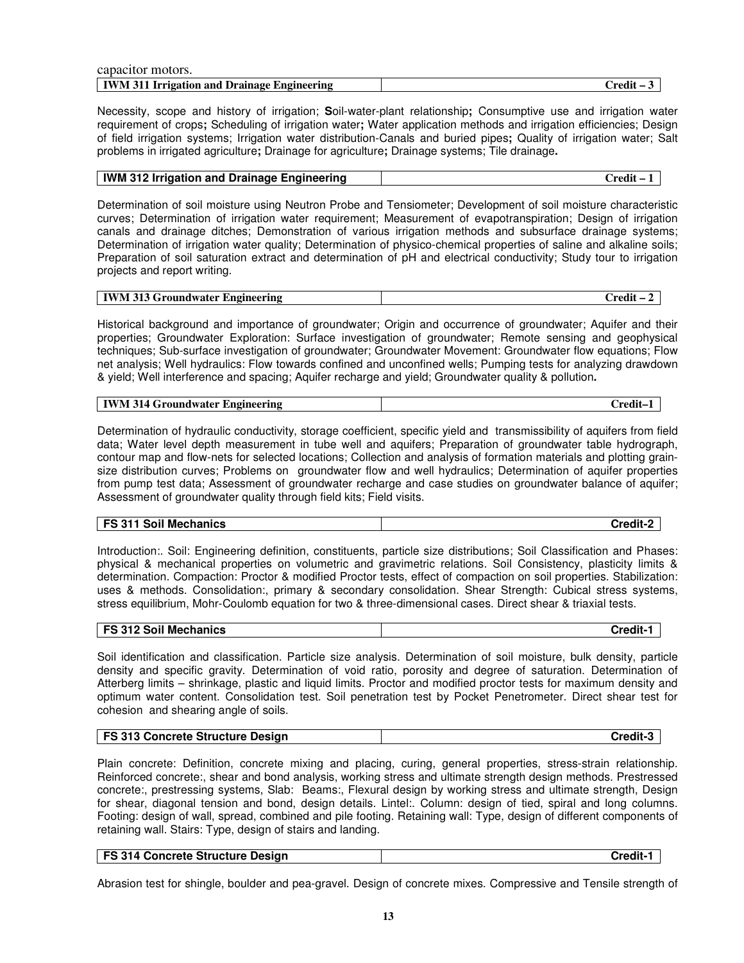| capacitor motors.                           |                 |
|---------------------------------------------|-----------------|
| IWM 311 Irrigation and Drainage Engineering | $C$ redit – $3$ |

Necessity, scope and history of irrigation; **S**oil-water-plant relationship**;** Consumptive use and irrigation water requirement of crops**;** Scheduling of irrigation water**;** Water application methods and irrigation efficiencies; Design of field irrigation systems; Irrigation water distribution-Canals and buried pipes**;** Quality of irrigation water; Salt problems in irrigated agriculture**;** Drainage for agriculture**;** Drainage systems; Tile drainage**.** 

| IWM 312 Irrigation and Drainage Engineering | $Credit - 1$ |
|---------------------------------------------|--------------|
|                                             |              |

Determination of soil moisture using Neutron Probe and Tensiometer; Development of soil moisture characteristic curves; Determination of irrigation water requirement; Measurement of evapotranspiration; Design of irrigation canals and drainage ditches; Demonstration of various irrigation methods and subsurface drainage systems; Determination of irrigation water quality; Determination of physico-chemical properties of saline and alkaline soils; Preparation of soil saturation extract and determination of pH and electrical conductivity; Study tour to irrigation projects and report writing.

| <b>IWM 313</b><br>. ngineering<br><b>BAIL</b><br>mdwater<br>чи.<br>-919 G "<br>. | $\sim$ $\sim$<br>ำคุณ ป่า |
|----------------------------------------------------------------------------------|---------------------------|
|----------------------------------------------------------------------------------|---------------------------|

Historical background and importance of groundwater; Origin and occurrence of groundwater; Aquifer and their properties; Groundwater Exploration: Surface investigation of groundwater; Remote sensing and geophysical techniques; Sub-surface investigation of groundwater; Groundwater Movement: Groundwater flow equations; Flow net analysis; Well hydraulics: Flow towards confined and unconfined wells; Pumping tests for analyzing drawdown & yield; Well interference and spacing; Aquifer recharge and yield; Groundwater quality & pollution**.**

| <b>IWM 314 Groundwater L</b> | $ -$   |
|------------------------------|--------|
| Engineering                  | `rodi: |

Determination of hydraulic conductivity, storage coefficient, specific yield and transmissibility of aquifers from field data; Water level depth measurement in tube well and aquifers; Preparation of groundwater table hydrograph, contour map and flow-nets for selected locations; Collection and analysis of formation materials and plotting grainsize distribution curves; Problems on groundwater flow and well hydraulics; Determination of aquifer properties from pump test data; Assessment of groundwater recharge and case studies on groundwater balance of aquifer; Assessment of groundwater quality through field kits; Field visits.

### **FS 311 Soil Mechanics Credit-2**

Introduction:. Soil: Engineering definition, constituents, particle size distributions; Soil Classification and Phases: physical & mechanical properties on volumetric and gravimetric relations. Soil Consistency, plasticity limits & determination. Compaction: Proctor & modified Proctor tests, effect of compaction on soil properties. Stabilization: uses & methods. Consolidation:, primary & secondary consolidation. Shear Strength: Cubical stress systems, stress equilibrium, Mohr-Coulomb equation for two & three-dimensional cases. Direct shear & triaxial tests.

Soil identification and classification. Particle size analysis. Determination of soil moisture, bulk density, particle density and specific gravity. Determination of void ratio, porosity and degree of saturation. Determination of Atterberg limits – shrinkage, plastic and liquid limits. Proctor and modified proctor tests for maximum density and optimum water content. Consolidation test. Soil penetration test by Pocket Penetrometer. Direct shear test for cohesion and shearing angle of soils.

| FS 313 Concrete Structure Design | Credit- |
|----------------------------------|---------|
|                                  |         |

Plain concrete: Definition, concrete mixing and placing, curing, general properties, stress-strain relationship. Reinforced concrete:, shear and bond analysis, working stress and ultimate strength design methods. Prestressed concrete:, prestressing systems, Slab: Beams:, Flexural design by working stress and ultimate strength, Design for shear, diagonal tension and bond, design details. Lintel:. Column: design of tied, spiral and long columns. Footing: design of wall, spread, combined and pile footing. Retaining wall: Type, design of different components of retaining wall. Stairs: Type, design of stairs and landing.

| <b>FS 314 Concrete Structure Design</b> | Credit- <sup>.</sup> |
|-----------------------------------------|----------------------|
|                                         |                      |

Abrasion test for shingle, boulder and pea-gravel. Design of concrete mixes. Compressive and Tensile strength of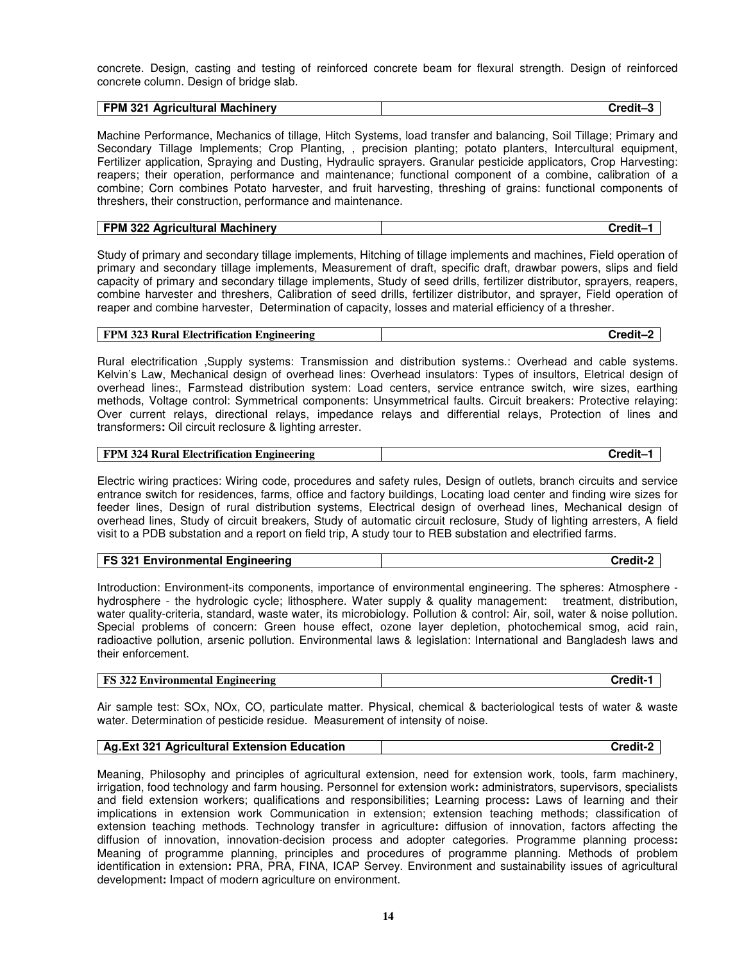concrete. Design, casting and testing of reinforced concrete beam for flexural strength. Design of reinforced concrete column. Design of bridge slab.

| <b>FPM</b><br>321<br><b>Agricultural Machinery</b> | `rodil |
|----------------------------------------------------|--------|
|                                                    |        |

Machine Performance, Mechanics of tillage, Hitch Systems, load transfer and balancing, Soil Tillage; Primary and Secondary Tillage Implements; Crop Planting, , precision planting; potato planters, Intercultural equipment, Fertilizer application, Spraying and Dusting, Hydraulic sprayers. Granular pesticide applicators, Crop Harvesting: reapers; their operation, performance and maintenance; functional component of a combine, calibration of a combine; Corn combines Potato harvester, and fruit harvesting, threshing of grains: functional components of threshers, their construction, performance and maintenance.

| FPM 322 Agricultural Machinery | Credit– |
|--------------------------------|---------|
|--------------------------------|---------|

Study of primary and secondary tillage implements, Hitching of tillage implements and machines, Field operation of primary and secondary tillage implements, Measurement of draft, specific draft, drawbar powers, slips and field capacity of primary and secondary tillage implements, Study of seed drills, fertilizer distributor, sprayers, reapers, combine harvester and threshers, Calibration of seed drills, fertilizer distributor, and sprayer, Field operation of reaper and combine harvester, Determination of capacity, losses and material efficiency of a thresher.

| FPM 323 Rural Electrification Engineering | Credit-2 |
|-------------------------------------------|----------|
|-------------------------------------------|----------|

Rural electrification ,Supply systems: Transmission and distribution systems.: Overhead and cable systems. Kelvin's Law, Mechanical design of overhead lines: Overhead insulators: Types of insultors, Eletrical design of overhead lines:, Farmstead distribution system: Load centers, service entrance switch, wire sizes, earthing methods, Voltage control: Symmetrical components: Unsymmetrical faults. Circuit breakers: Protective relaying: Over current relays, directional relays, impedance relays and differential relays, Protection of lines and transformers**:** Oil circuit reclosure & lighting arrester.

| <b>FPM 324 Rural Electrification Engineering</b> | Credit-1 |
|--------------------------------------------------|----------|
|--------------------------------------------------|----------|

Electric wiring practices: Wiring code, procedures and safety rules, Design of outlets, branch circuits and service entrance switch for residences, farms, office and factory buildings, Locating load center and finding wire sizes for feeder lines, Design of rural distribution systems, Electrical design of overhead lines, Mechanical design of overhead lines, Study of circuit breakers, Study of automatic circuit reclosure, Study of lighting arresters, A field visit to a PDB substation and a report on field trip, A study tour to REB substation and electrified farms.

| <b>FS 321 Environmental Engineering</b> | Credit-: |
|-----------------------------------------|----------|
|-----------------------------------------|----------|

Introduction: Environment-its components, importance of environmental engineering. The spheres: Atmosphere hydrosphere - the hydrologic cycle; lithosphere. Water supply & quality management: treatment, distribution, water quality-criteria, standard, waste water, its microbiology. Pollution & control: Air, soil, water & noise pollution. Special problems of concern: Green house effect, ozone layer depletion, photochemical smog, acid rain, radioactive pollution, arsenic pollution. Environmental laws & legislation: International and Bangladesh laws and their enforcement.

| <b>FS</b> 322 Environmental Engineering | .<br>Credit- |
|-----------------------------------------|--------------|
|-----------------------------------------|--------------|

Air sample test: SOx, NOx, CO, particulate matter. Physical, chemical & bacteriological tests of water & waste water. Determination of pesticide residue. Measurement of intensity of noise.

| Ag. Ext 321 Agricultural Extension Education | Credit-2 |
|----------------------------------------------|----------|
|----------------------------------------------|----------|

Meaning, Philosophy and principles of agricultural extension, need for extension work, tools, farm machinery, irrigation, food technology and farm housing. Personnel for extension work**:** administrators, supervisors, specialists and field extension workers; qualifications and responsibilities; Learning process**:** Laws of learning and their implications in extension work Communication in extension; extension teaching methods; classification of extension teaching methods. Technology transfer in agriculture**:** diffusion of innovation, factors affecting the diffusion of innovation, innovation-decision process and adopter categories. Programme planning process**:** Meaning of programme planning, principles and procedures of programme planning. Methods of problem identification in extension**:** PRA, PRA, FINA, ICAP Servey. Environment and sustainability issues of agricultural development**:** Impact of modern agriculture on environment.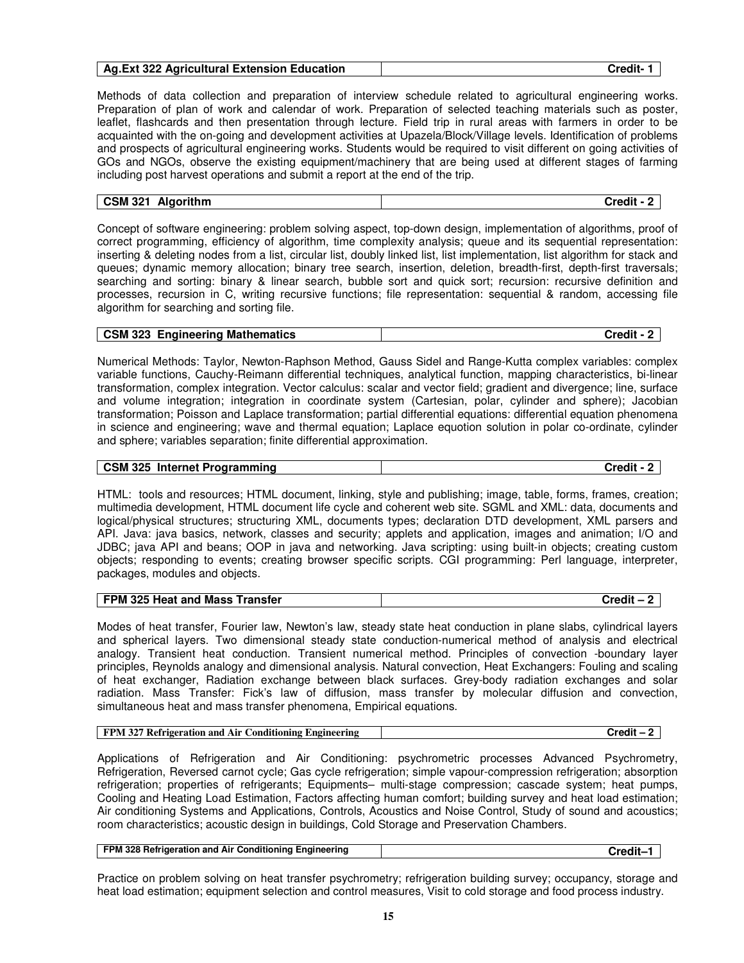| <b>Ag.Ext 322 Agricultural Extension Education</b> | Credit- |
|----------------------------------------------------|---------|
|----------------------------------------------------|---------|

Methods of data collection and preparation of interview schedule related to agricultural engineering works. Preparation of plan of work and calendar of work. Preparation of selected teaching materials such as poster, leaflet, flashcards and then presentation through lecture. Field trip in rural areas with farmers in order to be acquainted with the on-going and development activities at Upazela/Block/Village levels. Identification of problems and prospects of agricultural engineering works. Students would be required to visit different on going activities of GOs and NGOs, observe the existing equipment/machinery that are being used at different stages of farming including post harvest operations and submit a report at the end of the trip.

| <b>CSM 321</b> | --     |
|----------------|--------|
| Algorithm      | Credit |

Concept of software engineering: problem solving aspect, top-down design, implementation of algorithms, proof of correct programming, efficiency of algorithm, time complexity analysis; queue and its sequential representation: inserting & deleting nodes from a list, circular list, doubly linked list, list implementation, list algorithm for stack and queues; dynamic memory allocation; binary tree search, insertion, deletion, breadth-first, depth-first traversals; searching and sorting: binary & linear search, bubble sort and quick sort; recursion: recursive definition and processes, recursion in C, writing recursive functions; file representation: sequential & random, accessing file algorithm for searching and sorting file.

| <b>Engineering Mathematics</b><br>$\overline{\phantom{1}}$ CSM 323 | Credit |
|--------------------------------------------------------------------|--------|
|--------------------------------------------------------------------|--------|

Numerical Methods: Taylor, Newton-Raphson Method, Gauss Sidel and Range-Kutta complex variables: complex variable functions, Cauchy-Reimann differential techniques, analytical function, mapping characteristics, bi-linear transformation, complex integration. Vector calculus: scalar and vector field; gradient and divergence; line, surface and volume integration; integration in coordinate system (Cartesian, polar, cylinder and sphere); Jacobian transformation; Poisson and Laplace transformation; partial differential equations: differential equation phenomena in science and engineering; wave and thermal equation; Laplace equotion solution in polar co-ordinate, cylinder and sphere; variables separation; finite differential approximation.

| <b>CSM 325</b><br>Internet Programming | `rodit |
|----------------------------------------|--------|

HTML: tools and resources; HTML document, linking, style and publishing; image, table, forms, frames, creation; multimedia development, HTML document life cycle and coherent web site. SGML and XML: data, documents and logical/physical structures; structuring XML, documents types; declaration DTD development, XML parsers and API. Java: java basics, network, classes and security; applets and application, images and animation; I/O and JDBC; java API and beans; OOP in java and networking. Java scripting: using built-in objects; creating custom objects; responding to events; creating browser specific scripts. CGI programming: Perl language, interpreter, packages, modules and objects.

|--|

Modes of heat transfer, Fourier law, Newton's law, steady state heat conduction in plane slabs, cylindrical layers and spherical layers. Two dimensional steady state conduction-numerical method of analysis and electrical analogy. Transient heat conduction. Transient numerical method. Principles of convection -boundary layer principles, Reynolds analogy and dimensional analysis. Natural convection, Heat Exchangers: Fouling and scaling of heat exchanger, Radiation exchange between black surfaces. Grey-body radiation exchanges and solar radiation. Mass Transfer: Fick's law of diffusion, mass transfer by molecular diffusion and convection, simultaneous heat and mass transfer phenomena, Empirical equations.

| FPM 327 Refrigeration and Air Conditioning Engineering | Credit - |
|--------------------------------------------------------|----------|
|--------------------------------------------------------|----------|

Applications of Refrigeration and Air Conditioning: psychrometric processes Advanced Psychrometry, Refrigeration, Reversed carnot cycle; Gas cycle refrigeration; simple vapour-compression refrigeration; absorption refrigeration; properties of refrigerants; Equipments– multi-stage compression; cascade system; heat pumps, Cooling and Heating Load Estimation, Factors affecting human comfort; building survey and heat load estimation; Air conditioning Systems and Applications, Controls, Acoustics and Noise Control, Study of sound and acoustics; room characteristics; acoustic design in buildings, Cold Storage and Preservation Chambers.

| FPM 328 Refrigeration and Air Conditioning Engineering | $\cap$ redit- |
|--------------------------------------------------------|---------------|
|--------------------------------------------------------|---------------|

Practice on problem solving on heat transfer psychrometry; refrigeration building survey; occupancy, storage and heat load estimation; equipment selection and control measures, Visit to cold storage and food process industry.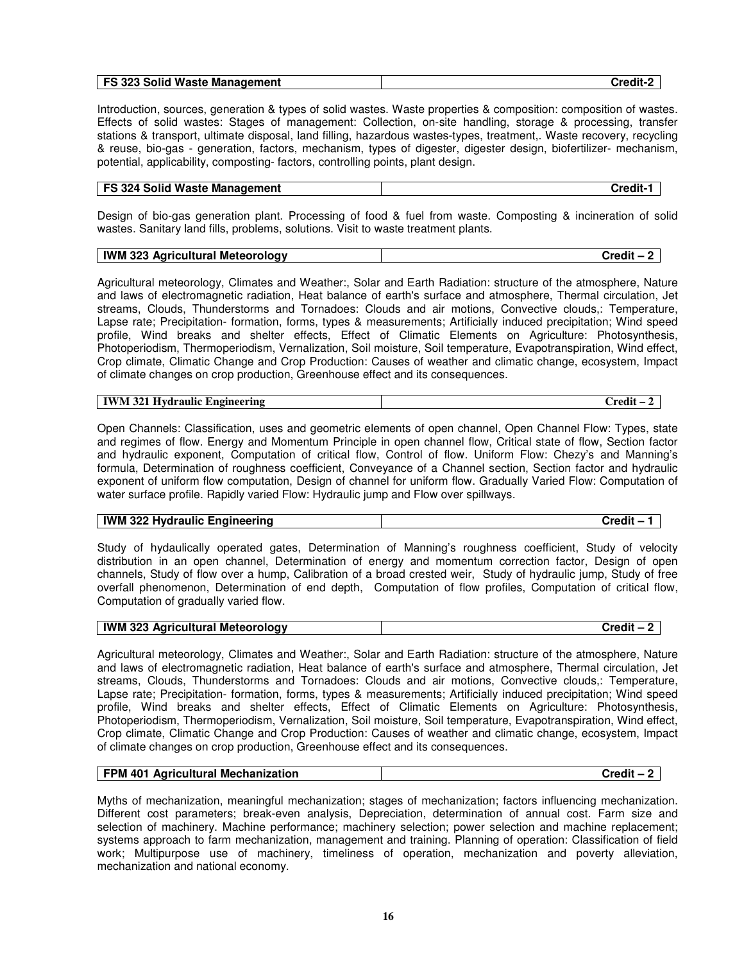|--|

Introduction, sources, generation & types of solid wastes. Waste properties & composition: composition of wastes. Effects of solid wastes: Stages of management: Collection, on-site handling, storage & processing, transfer stations & transport, ultimate disposal, land filling, hazardous wastes-types, treatment,. Waste recovery, recycling & reuse, bio-gas - generation, factors, mechanism, types of digester, digester design, biofertilizer- mechanism, potential, applicability, composting- factors, controlling points, plant design.

# **FS 324 Solid Waste Management Credit-1**

Design of bio-gas generation plant. Processing of food & fuel from waste. Composting & incineration of solid wastes. Sanitary land fills, problems, solutions. Visit to waste treatment plants.

| 323 Agricultural<br>IWM.<br>i Meteorology |  |
|-------------------------------------------|--|
|                                           |  |

Agricultural meteorology, Climates and Weather:, Solar and Earth Radiation: structure of the atmosphere, Nature and laws of electromagnetic radiation, Heat balance of earth's surface and atmosphere, Thermal circulation, Jet streams, Clouds, Thunderstorms and Tornadoes: Clouds and air motions, Convective clouds,: Temperature, Lapse rate; Precipitation- formation, forms, types & measurements; Artificially induced precipitation; Wind speed profile, Wind breaks and shelter effects, Effect of Climatic Elements on Agriculture: Photosynthesis, Photoperiodism, Thermoperiodism, Vernalization, Soil moisture, Soil temperature, Evapotranspiration, Wind effect, Crop climate, Climatic Change and Crop Production: Causes of weather and climatic change, ecosystem, Impact of climate changes on crop production, Greenhouse effect and its consequences.

| TV.<br>--<br>ווגי<br>IV /<br>≏erın⊾<br>I VA<br>лα<br>. | 'nodit |
|--------------------------------------------------------|--------|
|--------------------------------------------------------|--------|

Open Channels: Classification, uses and geometric elements of open channel, Open Channel Flow: Types, state and regimes of flow. Energy and Momentum Principle in open channel flow, Critical state of flow, Section factor and hydraulic exponent, Computation of critical flow, Control of flow. Uniform Flow: Chezy's and Manning's formula, Determination of roughness coefficient, Conveyance of a Channel section, Section factor and hydraulic exponent of uniform flow computation, Design of channel for uniform flow. Gradually Varied Flow: Computation of water surface profile. Rapidly varied Flow: Hydraulic jump and Flow over spillways.

#### **IWM 322 Hydraulic Engineering the set of the set of the set of the set of the Set of the Set of the Set of the Set of the Set of the Set of the Set of the Set of the Set of the Set of the Set of the Set of the Set of the**

Study of hydaulically operated gates, Determination of Manning's roughness coefficient, Study of velocity distribution in an open channel, Determination of energy and momentum correction factor, Design of open channels, Study of flow over a hump, Calibration of a broad crested weir, Study of hydraulic jump, Study of free overfall phenomenon, Determination of end depth, Computation of flow profiles, Computation of critical flow, Computation of gradually varied flow.

| <b>IWM 323 Agricultural Meteorology</b> | `rodit |
|-----------------------------------------|--------|

Agricultural meteorology, Climates and Weather:, Solar and Earth Radiation: structure of the atmosphere, Nature and laws of electromagnetic radiation, Heat balance of earth's surface and atmosphere, Thermal circulation, Jet streams, Clouds, Thunderstorms and Tornadoes: Clouds and air motions, Convective clouds,: Temperature, Lapse rate; Precipitation- formation, forms, types & measurements; Artificially induced precipitation; Wind speed profile, Wind breaks and shelter effects, Effect of Climatic Elements on Agriculture: Photosynthesis, Photoperiodism, Thermoperiodism, Vernalization, Soil moisture, Soil temperature, Evapotranspiration, Wind effect, Crop climate, Climatic Change and Crop Production: Causes of weather and climatic change, ecosystem, Impact of climate changes on crop production, Greenhouse effect and its consequences.

| FPM 401 Agricultural Mechanization | Credit – 2 |
|------------------------------------|------------|
|------------------------------------|------------|

Myths of mechanization, meaningful mechanization; stages of mechanization; factors influencing mechanization. Different cost parameters; break-even analysis, Depreciation, determination of annual cost. Farm size and selection of machinery. Machine performance; machinery selection; power selection and machine replacement; systems approach to farm mechanization, management and training. Planning of operation: Classification of field work; Multipurpose use of machinery, timeliness of operation, mechanization and poverty alleviation, mechanization and national economy.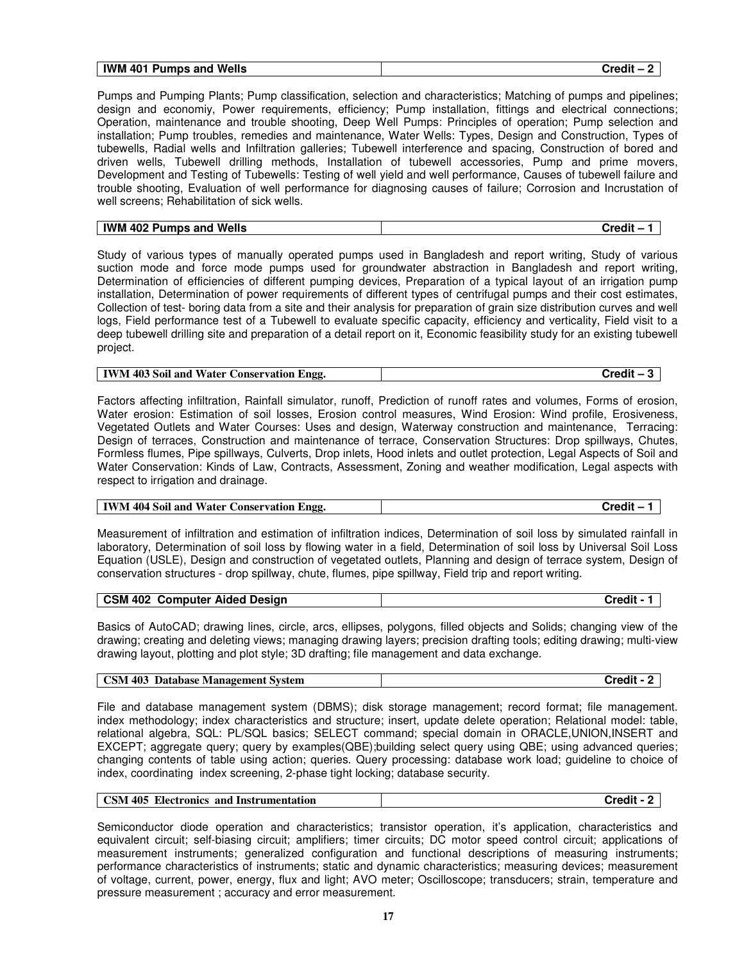|--|

Pumps and Pumping Plants; Pump classification, selection and characteristics; Matching of pumps and pipelines; design and economiy, Power requirements, efficiency; Pump installation, fittings and electrical connections; Operation, maintenance and trouble shooting, Deep Well Pumps: Principles of operation; Pump selection and installation; Pump troubles, remedies and maintenance, Water Wells: Types, Design and Construction, Types of tubewells, Radial wells and Infiltration galleries; Tubewell interference and spacing, Construction of bored and driven wells, Tubewell drilling methods, Installation of tubewell accessories, Pump and prime movers, Development and Testing of Tubewells: Testing of well yield and well performance, Causes of tubewell failure and trouble shooting, Evaluation of well performance for diagnosing causes of failure; Corrosion and Incrustation of well screens; Rehabilitation of sick wells.

| 1402 Pumps and Wells<br>IWM | Credil |
|-----------------------------|--------|

Study of various types of manually operated pumps used in Bangladesh and report writing, Study of various suction mode and force mode pumps used for groundwater abstraction in Bangladesh and report writing, Determination of efficiencies of different pumping devices, Preparation of a typical layout of an irrigation pump installation, Determination of power requirements of different types of centrifugal pumps and their cost estimates, Collection of test- boring data from a site and their analysis for preparation of grain size distribution curves and well logs, Field performance test of a Tubewell to evaluate specific capacity, efficiency and verticality, Field visit to a deep tubewell drilling site and preparation of a detail report on it, Economic feasibility study for an existing tubewell project.

| <b>IWM 403 Soil and Water Conservation Engg.</b> | Credit |
|--------------------------------------------------|--------|
|--------------------------------------------------|--------|

Factors affecting infiltration, Rainfall simulator, runoff, Prediction of runoff rates and volumes, Forms of erosion, Water erosion: Estimation of soil losses, Erosion control measures, Wind Erosion: Wind profile, Erosiveness, Vegetated Outlets and Water Courses: Uses and design, Waterway construction and maintenance, Terracing: Design of terraces, Construction and maintenance of terrace, Conservation Structures: Drop spillways, Chutes, Formless flumes, Pipe spillways, Culverts, Drop inlets, Hood inlets and outlet protection, Legal Aspects of Soil and Water Conservation: Kinds of Law, Contracts, Assessment, Zoning and weather modification, Legal aspects with respect to irrigation and drainage.

Measurement of infiltration and estimation of infiltration indices, Determination of soil loss by simulated rainfall in laboratory, Determination of soil loss by flowing water in a field, Determination of soil loss by Universal Soil Loss Equation (USLE), Design and construction of vegetated outlets, Planning and design of terrace system, Design of conservation structures - drop spillway, chute, flumes, pipe spillway, Field trip and report writing.

| CSM 402<br><b>Computer</b><br><b>Aided Design</b> | `~~~ |
|---------------------------------------------------|------|

Basics of AutoCAD; drawing lines, circle, arcs, ellipses, polygons, filled objects and Solids; changing view of the drawing; creating and deleting views; managing drawing layers; precision drafting tools; editing drawing; multi-view drawing layout, plotting and plot style; 3D drafting; file management and data exchange.

| <b>Database Management System</b><br><b>CSM</b><br>.403 | `rodit<br>Jiedir – |
|---------------------------------------------------------|--------------------|
|---------------------------------------------------------|--------------------|

File and database management system (DBMS); disk storage management; record format; file management. index methodology; index characteristics and structure; insert, update delete operation; Relational model: table, relational algebra, SQL: PL/SQL basics; SELECT command; special domain in ORACLE,UNION,INSERT and EXCEPT; aggregate query; query by examples(QBE);building select query using QBE; using advanced queries; changing contents of table using action; queries. Query processing: database work load; guideline to choice of index, coordinating index screening, 2-phase tight locking; database security.

| <b>CSM 405 Electronics and Instrumentation</b><br><b>Credit</b> |  |  |
|-----------------------------------------------------------------|--|--|
|-----------------------------------------------------------------|--|--|

Semiconductor diode operation and characteristics; transistor operation, it's application, characteristics and equivalent circuit; self-biasing circuit; amplifiers; timer circuits; DC motor speed control circuit; applications of measurement instruments; generalized configuration and functional descriptions of measuring instruments; performance characteristics of instruments; static and dynamic characteristics; measuring devices; measurement of voltage, current, power, energy, flux and light; AVO meter; Oscilloscope; transducers; strain, temperature and pressure measurement ; accuracy and error measurement.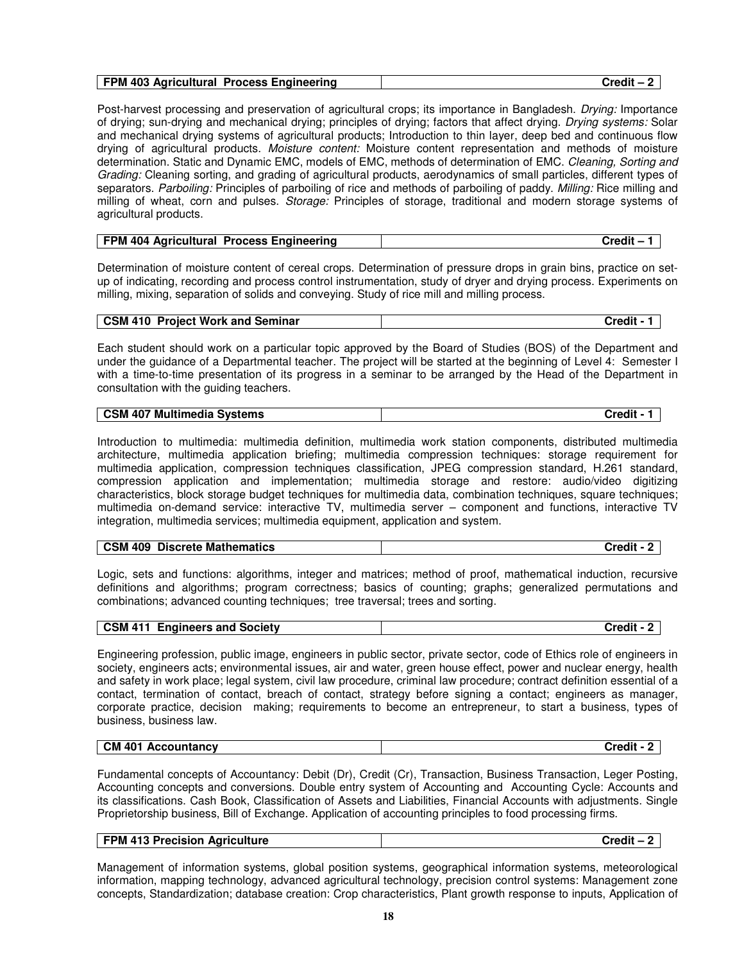Post-harvest processing and preservation of agricultural crops; its importance in Bangladesh. *Drving:* Importance of drying; sun-drying and mechanical drying; principles of drying; factors that affect drying. Drying systems: Solar and mechanical drying systems of agricultural products; Introduction to thin layer, deep bed and continuous flow drying of agricultural products. Moisture content: Moisture content representation and methods of moisture determination. Static and Dynamic EMC, models of EMC, methods of determination of EMC. Cleaning, Sorting and Grading: Cleaning sorting, and grading of agricultural products, aerodynamics of small particles, different types of separators. Parboiling: Principles of parboiling of rice and methods of parboiling of paddy. Milling: Rice milling and milling of wheat, corn and pulses. Storage: Principles of storage, traditional and modern storage systems of agricultural products.

| <b>FPM</b><br>404<br><b>Process Engineering</b><br>Agricultural | `**^^ <b>*</b> |
|-----------------------------------------------------------------|----------------|

Determination of moisture content of cereal crops. Determination of pressure drops in grain bins, practice on setup of indicating, recording and process control instrumentation, study of dryer and drying process. Experiments on milling, mixing, separation of solids and conveying. Study of rice mill and milling process.

| <b>CSM 410 Project Work and Seminar</b> | Credit - 1 |
|-----------------------------------------|------------|

Each student should work on a particular topic approved by the Board of Studies (BOS) of the Department and under the guidance of a Departmental teacher. The project will be started at the beginning of Level 4: Semester I with a time-to-time presentation of its progress in a seminar to be arranged by the Head of the Department in consultation with the guiding teachers.

|  | Multimedia Systems<br>. 407<br><b>CSM</b> |  |
|--|-------------------------------------------|--|
|--|-------------------------------------------|--|

Introduction to multimedia: multimedia definition, multimedia work station components, distributed multimedia architecture, multimedia application briefing; multimedia compression techniques: storage requirement for multimedia application, compression techniques classification, JPEG compression standard, H.261 standard, compression application and implementation; multimedia storage and restore: audio/video digitizing characteristics, block storage budget techniques for multimedia data, combination techniques, square techniques; multimedia on-demand service: interactive TV, multimedia server – component and functions, interactive TV integration, multimedia services; multimedia equipment, application and system.

| <b>Discrete Mathematics</b><br><b>CSM</b><br>409 | Credit |
|--------------------------------------------------|--------|
|--------------------------------------------------|--------|

Logic, sets and functions: algorithms, integer and matrices; method of proof, mathematical induction, recursive definitions and algorithms; program correctness; basics of counting; graphs; generalized permutations and combinations; advanced counting techniques; tree traversal; trees and sorting.

| <b>CSM 411 Engineers and Society</b> | Credit - 2 |
|--------------------------------------|------------|

Engineering profession, public image, engineers in public sector, private sector, code of Ethics role of engineers in society, engineers acts; environmental issues, air and water, green house effect, power and nuclear energy, health and safety in work place; legal system, civil law procedure, criminal law procedure; contract definition essential of a contact, termination of contact, breach of contact, strategy before signing a contact; engineers as manager, corporate practice, decision making; requirements to become an entrepreneur, to start a business, types of business, business law.

| <b>CM 401</b><br><br>Accountancy<br>™rodit .<br>urear<br>. . |
|--------------------------------------------------------------|
|--------------------------------------------------------------|

Fundamental concepts of Accountancy: Debit (Dr), Credit (Cr), Transaction, Business Transaction, Leger Posting, Accounting concepts and conversions. Double entry system of Accounting and Accounting Cycle: Accounts and its classifications. Cash Book, Classification of Assets and Liabilities, Financial Accounts with adjustments. Single Proprietorship business, Bill of Exchange. Application of accounting principles to food processing firms.

| <b>FPM 413 Precision Agriculture</b> | Credit - |
|--------------------------------------|----------|
|                                      |          |

Management of information systems, global position systems, geographical information systems, meteorological information, mapping technology, advanced agricultural technology, precision control systems: Management zone concepts, Standardization; database creation: Crop characteristics, Plant growth response to inputs, Application of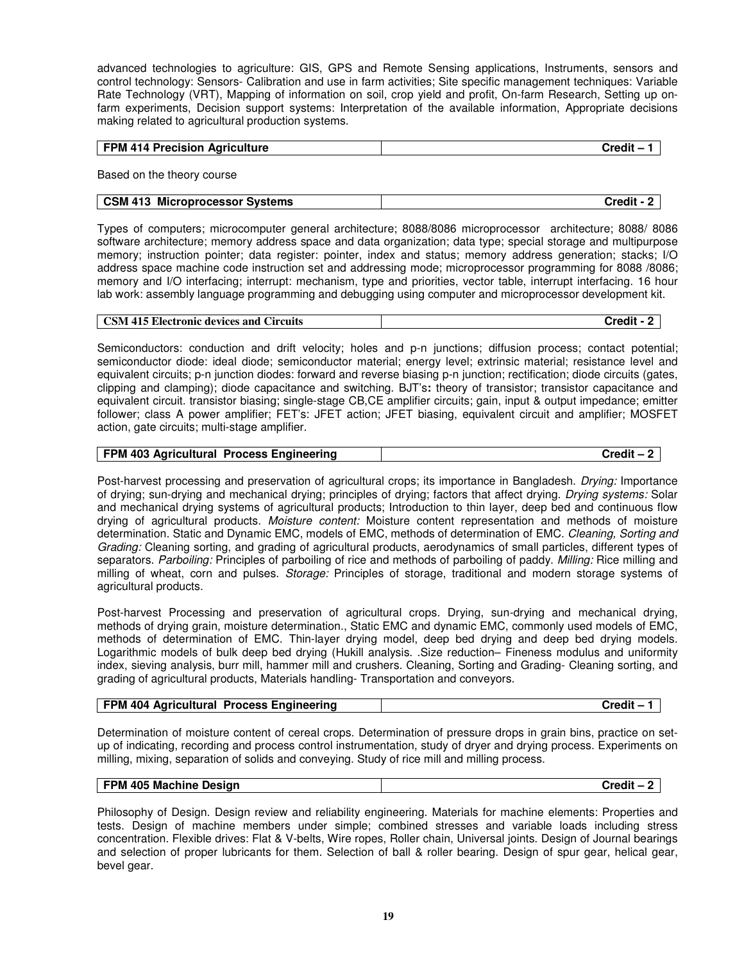advanced technologies to agriculture: GIS, GPS and Remote Sensing applications, Instruments, sensors and control technology: Sensors- Calibration and use in farm activities; Site specific management techniques: Variable Rate Technology (VRT), Mapping of information on soil, crop yield and profit, On-farm Research, Setting up onfarm experiments, Decision support systems: Interpretation of the available information, Appropriate decisions making related to agricultural production systems.

| <b>FPM 414 Precision Agriculture</b> | Credit- |
|--------------------------------------|---------|

Based on the theory course

#### **CSM 413 Microprocessor Systems Credit - 2**

Types of computers; microcomputer general architecture; 8088/8086 microprocessor architecture; 8088/ 8086 software architecture; memory address space and data organization; data type; special storage and multipurpose memory; instruction pointer; data register: pointer, index and status; memory address generation; stacks; I/O address space machine code instruction set and addressing mode; microprocessor programming for 8088 /8086; memory and I/O interfacing; interrupt: mechanism, type and priorities, vector table, interrupt interfacing. 16 hour lab work: assembly language programming and debugging using computer and microprocessor development kit.

|  | <b>CSM 415 Electronic devices and Circuits</b> | Credit |
|--|------------------------------------------------|--------|
|--|------------------------------------------------|--------|

Semiconductors: conduction and drift velocity; holes and p-n junctions; diffusion process; contact potential; semiconductor diode: ideal diode; semiconductor material; energy level; extrinsic material; resistance level and equivalent circuits; p-n junction diodes: forward and reverse biasing p-n junction; rectification; diode circuits (gates, clipping and clamping); diode capacitance and switching. BJT's**:** theory of transistor; transistor capacitance and equivalent circuit. transistor biasing; single-stage CB,CE amplifier circuits; gain, input & output impedance; emitter follower; class A power amplifier; FET's: JFET action; JFET biasing, equivalent circuit and amplifier; MOSFET action, gate circuits; multi-stage amplifier.

| FPM 403 Agricultural Process Engineering<br>Credit – |
|------------------------------------------------------|
|------------------------------------------------------|

Post-harvest processing and preservation of agricultural crops; its importance in Bangladesh. Drying: Importance of drying; sun-drying and mechanical drying; principles of drying; factors that affect drying. Drying systems: Solar and mechanical drying systems of agricultural products; Introduction to thin layer, deep bed and continuous flow drying of agricultural products. Moisture content: Moisture content representation and methods of moisture determination. Static and Dynamic EMC, models of EMC, methods of determination of EMC. Cleaning, Sorting and Grading: Cleaning sorting, and grading of agricultural products, aerodynamics of small particles, different types of separators. Parboiling: Principles of parboiling of rice and methods of parboiling of paddy. Milling: Rice milling and milling of wheat, corn and pulses. Storage: Principles of storage, traditional and modern storage systems of agricultural products.

Post-harvest Processing and preservation of agricultural crops. Drying, sun-drying and mechanical drying, methods of drying grain, moisture determination., Static EMC and dynamic EMC, commonly used models of EMC, methods of determination of EMC. Thin-layer drying model, deep bed drying and deep bed drying models. Logarithmic models of bulk deep bed drying (Hukill analysis. .Size reduction– Fineness modulus and uniformity index, sieving analysis, burr mill, hammer mill and crushers. Cleaning, Sorting and Grading- Cleaning sorting, and grading of agricultural products, Materials handling- Transportation and conveyors.

Determination of moisture content of cereal crops. Determination of pressure drops in grain bins, practice on setup of indicating, recording and process control instrumentation, study of dryer and drying process. Experiments on milling, mixing, separation of solids and conveying. Study of rice mill and milling process.

| 405 Machine Design<br><b>FPM</b> | `µodit |
|----------------------------------|--------|

Philosophy of Design. Design review and reliability engineering. Materials for machine elements: Properties and tests. Design of machine members under simple; combined stresses and variable loads including stress concentration. Flexible drives: Flat & V-belts, Wire ropes, Roller chain, Universal joints. Design of Journal bearings and selection of proper lubricants for them. Selection of ball & roller bearing. Design of spur gear, helical gear, bevel gear.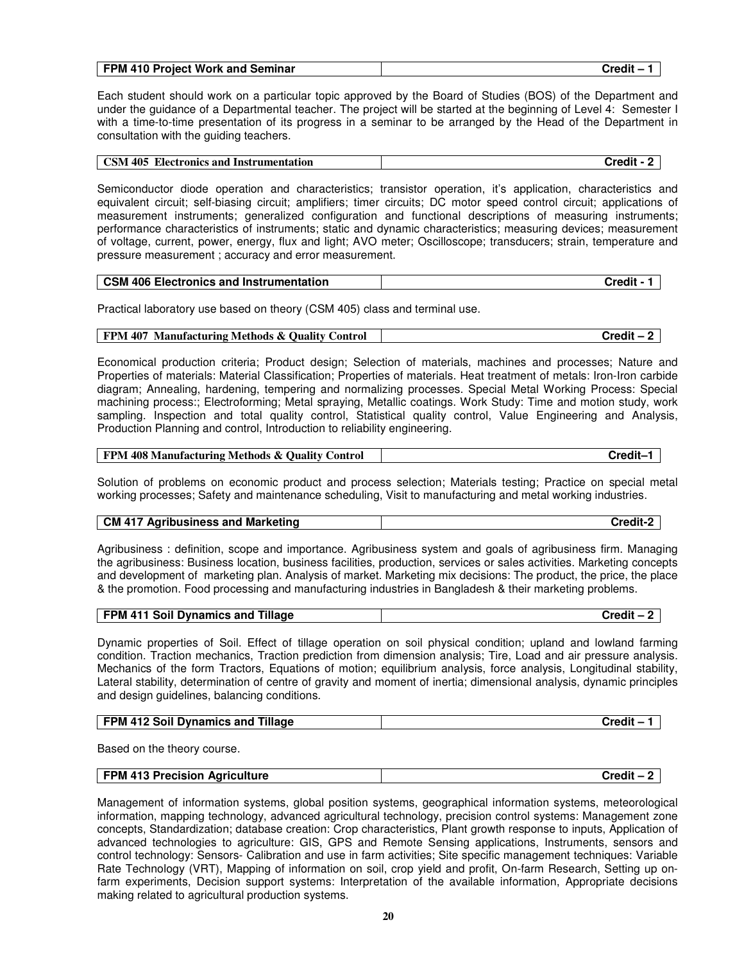|  | FPM 410 Project Work and Seminar | `rodit |
|--|----------------------------------|--------|
|--|----------------------------------|--------|

Each student should work on a particular topic approved by the Board of Studies (BOS) of the Department and under the guidance of a Departmental teacher. The project will be started at the beginning of Level 4: Semester I with a time-to-time presentation of its progress in a seminar to be arranged by the Head of the Department in consultation with the guiding teachers.

| <b>Electronics and Instrumentation</b><br>. 405<br><b>CSM</b> | Trodit<br>-115 |
|---------------------------------------------------------------|----------------|
|                                                               |                |

Semiconductor diode operation and characteristics; transistor operation, it's application, characteristics and equivalent circuit; self-biasing circuit; amplifiers; timer circuits; DC motor speed control circuit; applications of measurement instruments; generalized configuration and functional descriptions of measuring instruments; performance characteristics of instruments; static and dynamic characteristics; measuring devices; measurement of voltage, current, power, energy, flux and light; AVO meter; Oscilloscope; transducers; strain, temperature and pressure measurement ; accuracy and error measurement.

| <b>CSM 406 Electronics and Instrumentation</b> | Credit - |
|------------------------------------------------|----------|
|------------------------------------------------|----------|

Practical laboratory use based on theory (CSM 405) class and terminal use.

#### **FPM 407 Manufacturing Methods & Quality Control Credit – 2**

Economical production criteria; Product design; Selection of materials, machines and processes; Nature and Properties of materials: Material Classification; Properties of materials. Heat treatment of metals: Iron-Iron carbide diagram; Annealing, hardening, tempering and normalizing processes. Special Metal Working Process: Special machining process:; Electroforming; Metal spraying, Metallic coatings. Work Study: Time and motion study, work sampling. Inspection and total quality control, Statistical quality control, Value Engineering and Analysis, Production Planning and control, Introduction to reliability engineering.

#### **FPM 408 Manufacturing Methods & Quality Control Credit–1**

Solution of problems on economic product and process selection; Materials testing; Practice on special metal working processes; Safety and maintenance scheduling, Visit to manufacturing and metal working industries.

#### **CM 417 Agribusiness and Marketing Credit-2**

Agribusiness : definition, scope and importance. Agribusiness system and goals of agribusiness firm. Managing the agribusiness: Business location, business facilities, production, services or sales activities. Marketing concepts and development of marketing plan. Analysis of market. Marketing mix decisions: The product, the price, the place & the promotion. Food processing and manufacturing industries in Bangladesh & their marketing problems.

| <b>FPM 411 Soil Dynamics and</b><br>Tillage | Trodit. |
|---------------------------------------------|---------|

Dynamic properties of Soil. Effect of tillage operation on soil physical condition; upland and lowland farming condition. Traction mechanics, Traction prediction from dimension analysis; Tire, Load and air pressure analysis. Mechanics of the form Tractors, Equations of motion; equilibrium analysis, force analysis, Longitudinal stability, Lateral stability, determination of centre of gravity and moment of inertia; dimensional analysis, dynamic principles and design guidelines, balancing conditions.

|  | <b>Soil Dynamics and Select</b><br>Tillage<br><b>FPM</b><br>412 | .<br>ும∧⊿⊞ |
|--|-----------------------------------------------------------------|------------|
|--|-----------------------------------------------------------------|------------|

Based on the theory course.

| FPM 413 Precision Agriculture | Credit |
|-------------------------------|--------|
|                               |        |

Management of information systems, global position systems, geographical information systems, meteorological information, mapping technology, advanced agricultural technology, precision control systems: Management zone concepts, Standardization; database creation: Crop characteristics, Plant growth response to inputs, Application of advanced technologies to agriculture: GIS, GPS and Remote Sensing applications, Instruments, sensors and control technology: Sensors- Calibration and use in farm activities; Site specific management techniques: Variable Rate Technology (VRT), Mapping of information on soil, crop yield and profit, On-farm Research, Setting up onfarm experiments, Decision support systems: Interpretation of the available information, Appropriate decisions making related to agricultural production systems.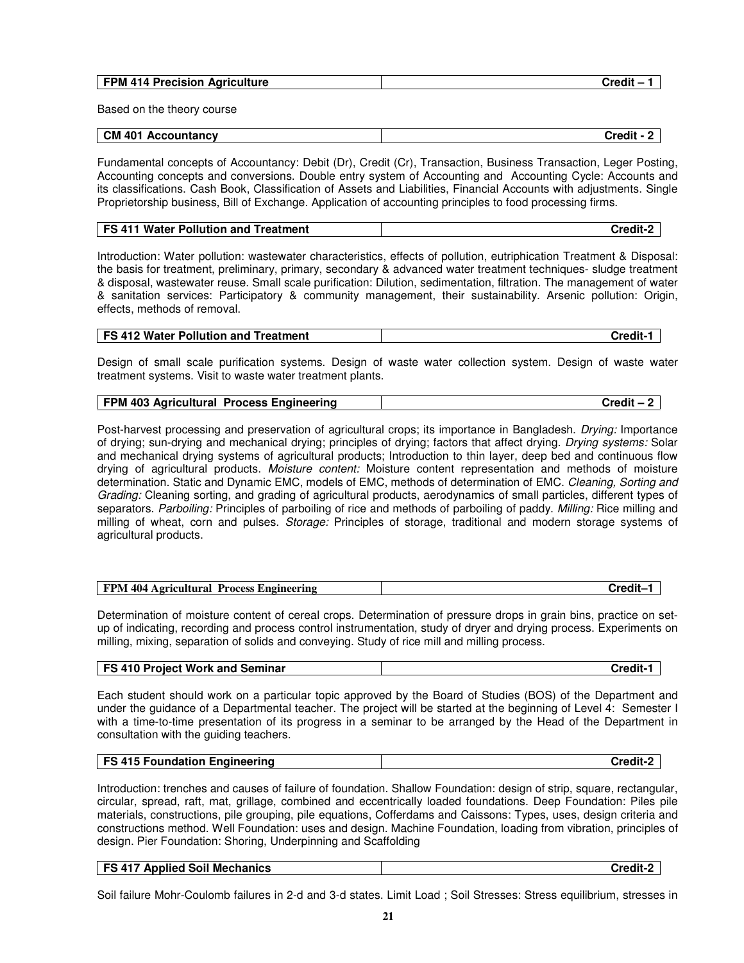| FPM 414 Precision Agriculture | $C_{\text{redit}}$ – |
|-------------------------------|----------------------|
|                               |                      |
| Based on the theory course    |                      |

| CM 401<br>Accountancv | <b>Credit</b> |
|-----------------------|---------------|

Fundamental concepts of Accountancy: Debit (Dr), Credit (Cr), Transaction, Business Transaction, Leger Posting, Accounting concepts and conversions. Double entry system of Accounting and Accounting Cycle: Accounts and its classifications. Cash Book, Classification of Assets and Liabilities, Financial Accounts with adjustments. Single Proprietorship business, Bill of Exchange. Application of accounting principles to food processing firms.

| FS 411 Water Pollution and Treatment | Credit : |
|--------------------------------------|----------|

Introduction: Water pollution: wastewater characteristics, effects of pollution, eutriphication Treatment & Disposal: the basis for treatment, preliminary, primary, secondary & advanced water treatment techniques- sludge treatment & disposal, wastewater reuse. Small scale purification: Dilution, sedimentation, filtration. The management of water & sanitation services: Participatory & community management, their sustainability. Arsenic pollution: Origin, effects, methods of removal.

| FS 412 Water Pollution and Treatment | Credit-1 |
|--------------------------------------|----------|
|--------------------------------------|----------|

Design of small scale purification systems. Design of waste water collection system. Design of waste water treatment systems. Visit to waste water treatment plants.

| FPM 403 Agricultural Process Engineering | Credit – |
|------------------------------------------|----------|
|------------------------------------------|----------|

Post-harvest processing and preservation of agricultural crops; its importance in Bangladesh. *Drying:* Importance of drying; sun-drying and mechanical drying; principles of drying; factors that affect drying. Drying systems: Solar and mechanical drying systems of agricultural products; Introduction to thin layer, deep bed and continuous flow drying of agricultural products. Moisture content: Moisture content representation and methods of moisture determination. Static and Dynamic EMC, models of EMC, methods of determination of EMC. Cleaning, Sorting and Grading: Cleaning sorting, and grading of agricultural products, aerodynamics of small particles, different types of separators. Parboiling: Principles of parboiling of rice and methods of parboiling of paddy. Milling: Rice milling and milling of wheat, corn and pulses. Storage: Principles of storage, traditional and modern storage systems of agricultural products.

| FPM<br>404<br><b>Process</b><br>: Engineering<br>Agricultural |  |
|---------------------------------------------------------------|--|

Determination of moisture content of cereal crops. Determination of pressure drops in grain bins, practice on setup of indicating, recording and process control instrumentation, study of dryer and drying process. Experiments on milling, mixing, separation of solids and conveying. Study of rice mill and milling process.

| <b>FS 410 Project Work and Seminar</b><br>`redit- |
|---------------------------------------------------|
|---------------------------------------------------|

Each student should work on a particular topic approved by the Board of Studies (BOS) of the Department and under the guidance of a Departmental teacher. The project will be started at the beginning of Level 4: Semester I with a time-to-time presentation of its progress in a seminar to be arranged by the Head of the Department in consultation with the guiding teachers.

| <b>FS 415</b><br>i Foundation Engineering | ີ້ິ້ິ້ |
|-------------------------------------------|--------|
|                                           |        |

Introduction: trenches and causes of failure of foundation. Shallow Foundation: design of strip, square, rectangular, circular, spread, raft, mat, grillage, combined and eccentrically loaded foundations. Deep Foundation: Piles pile materials, constructions, pile grouping, pile equations, Cofferdams and Caissons: Types, uses, design criteria and constructions method. Well Foundation: uses and design. Machine Foundation, loading from vibration, principles of design. Pier Foundation: Shoring, Underpinning and Scaffolding

| <b>Applied Soil Mechanics</b><br><b>FS 417 A</b> |  |
|--------------------------------------------------|--|
|                                                  |  |

Soil failure Mohr-Coulomb failures in 2-d and 3-d states. Limit Load ; Soil Stresses: Stress equilibrium, stresses in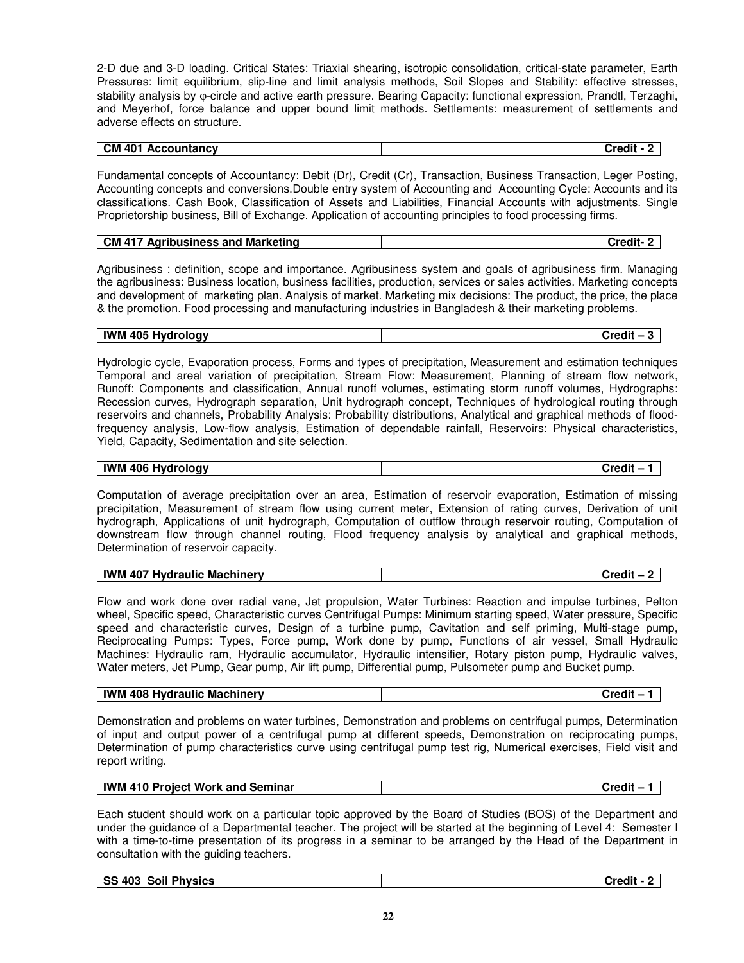2-D due and 3-D loading. Critical States: Triaxial shearing, isotropic consolidation, critical-state parameter, Earth Pressures: limit equilibrium, slip-line and limit analysis methods, Soil Slopes and Stability: effective stresses, stability analysis by  $\varphi$ -circle and active earth pressure. Bearing Capacity: functional expression, Prandtl, Terzaghi, and Meyerhof, force balance and upper bound limit methods. Settlements: measurement of settlements and adverse effects on structure.

| <b>CM 401</b><br>Accountancv | ¬⊶∼⊿∷∔<br>. .<br>. |  |
|------------------------------|--------------------|--|

Fundamental concepts of Accountancy: Debit (Dr), Credit (Cr), Transaction, Business Transaction, Leger Posting, Accounting concepts and conversions.Double entry system of Accounting and Accounting Cycle: Accounts and its classifications. Cash Book, Classification of Assets and Liabilities, Financial Accounts with adjustments. Single Proprietorship business, Bill of Exchange. Application of accounting principles to food processing firms.

| СМ<br>717<br>Marketing<br>ribusiness and<br>AN. | `*^~it |
|-------------------------------------------------|--------|
|                                                 |        |

Agribusiness : definition, scope and importance. Agribusiness system and goals of agribusiness firm. Managing the agribusiness: Business location, business facilities, production, services or sales activities. Marketing concepts and development of marketing plan. Analysis of market. Marketing mix decisions: The product, the price, the place & the promotion. Food processing and manufacturing industries in Bangladesh & their marketing problems.

| .405'<br><b>IWM</b><br>Hvdrology | <br>Credil |
|----------------------------------|------------|
|----------------------------------|------------|

Hydrologic cycle, Evaporation process, Forms and types of precipitation, Measurement and estimation techniques Temporal and areal variation of precipitation, Stream Flow: Measurement, Planning of stream flow network, Runoff: Components and classification, Annual runoff volumes, estimating storm runoff volumes, Hydrographs: Recession curves, Hydrograph separation, Unit hydrograph concept, Techniques of hydrological routing through reservoirs and channels, Probability Analysis: Probability distributions, Analytical and graphical methods of floodfrequency analysis, Low-flow analysis, Estimation of dependable rainfall, Reservoirs: Physical characteristics, Yield, Capacity, Sedimentation and site selection.

| . . |
|-----|
|-----|

Computation of average precipitation over an area, Estimation of reservoir evaporation, Estimation of missing precipitation, Measurement of stream flow using current meter, Extension of rating curves, Derivation of unit hydrograph, Applications of unit hydrograph, Computation of outflow through reservoir routing, Computation of downstream flow through channel routing, Flood frequency analysis by analytical and graphical methods, Determination of reservoir capacity.

Flow and work done over radial vane, Jet propulsion, Water Turbines: Reaction and impulse turbines, Pelton wheel, Specific speed, Characteristic curves Centrifugal Pumps: Minimum starting speed, Water pressure, Specific speed and characteristic curves, Design of a turbine pump, Cavitation and self priming, Multi-stage pump, Reciprocating Pumps: Types, Force pump, Work done by pump, Functions of air vessel, Small Hydraulic Machines: Hydraulic ram, Hydraulic accumulator, Hydraulic intensifier, Rotary piston pump, Hydraulic valves, Water meters, Jet Pump, Gear pump, Air lift pump, Differential pump, Pulsometer pump and Bucket pump.

| IWM.<br>408<br><b>Machinerv</b><br>. Hvdraulic | <u>вил.</u><br>ucul |
|------------------------------------------------|---------------------|
|                                                |                     |

Demonstration and problems on water turbines, Demonstration and problems on centrifugal pumps, Determination of input and output power of a centrifugal pump at different speeds, Demonstration on reciprocating pumps, Determination of pump characteristics curve using centrifugal pump test rig, Numerical exercises, Field visit and report writing.

| <b>IWM 410 Project Work and Seminar</b><br>Credit – |
|-----------------------------------------------------|
|-----------------------------------------------------|

Each student should work on a particular topic approved by the Board of Studies (BOS) of the Department and under the guidance of a Departmental teacher. The project will be started at the beginning of Level 4: Semester I with a time-to-time presentation of its progress in a seminar to be arranged by the Head of the Department in consultation with the guiding teachers.

| SS 403 Soil Physics | Credit |
|---------------------|--------|
|                     |        |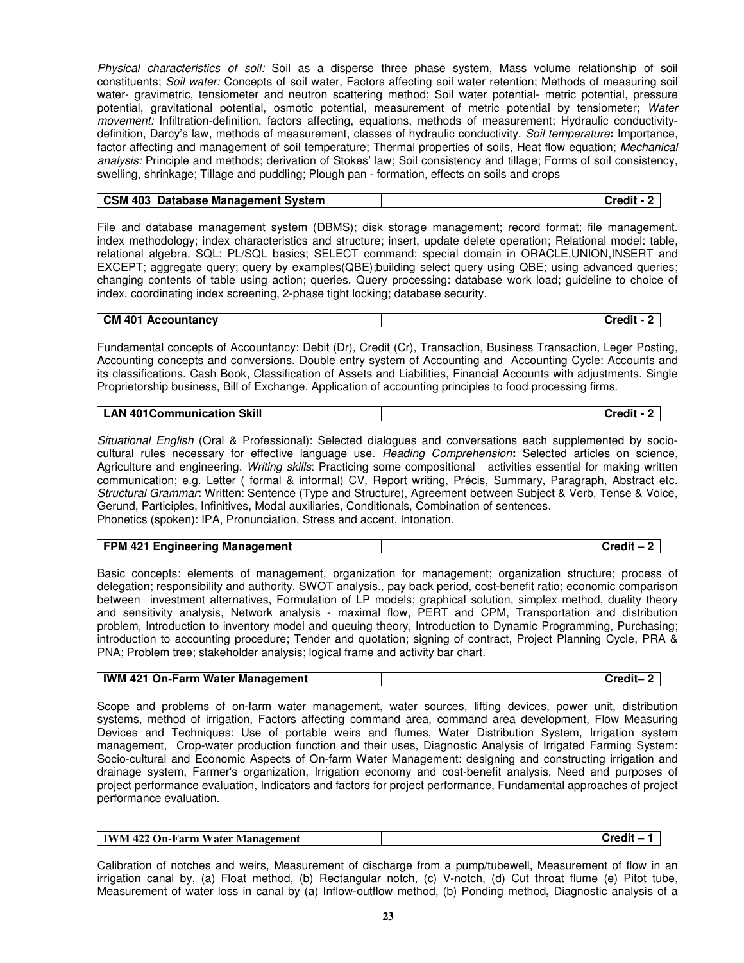Physical characteristics of soil: Soil as a disperse three phase system, Mass volume relationship of soil constituents; Soil water: Concepts of soil water, Factors affecting soil water retention; Methods of measuring soil water- gravimetric, tensiometer and neutron scattering method; Soil water potential- metric potential, pressure potential, gravitational potential, osmotic potential, measurement of metric potential by tensiometer; Water movement: Infiltration-definition, factors affecting, equations, methods of measurement; Hydraulic conductivitydefinition, Darcy's law, methods of measurement, classes of hydraulic conductivity. Soil temperature**:** Importance, factor affecting and management of soil temperature; Thermal properties of soils, Heat flow equation; Mechanical analysis: Principle and methods; derivation of Stokes' law; Soil consistency and tillage; Forms of soil consistency, swelling, shrinkage; Tillage and puddling; Plough pan - formation, effects on soils and crops

| <b>CSM 403 Database Management System</b> | Credit - 2 |
|-------------------------------------------|------------|

File and database management system (DBMS); disk storage management; record format; file management. index methodology; index characteristics and structure; insert, update delete operation; Relational model: table, relational algebra, SQL: PL/SQL basics; SELECT command; special domain in ORACLE,UNION,INSERT and EXCEPT; aggregate query; query by examples(QBE);building select query using QBE; using advanced queries; changing contents of table using action; queries. Query processing: database work load; guideline to choice of index, coordinating index screening, 2-phase tight locking; database security.

| $\sim$ CM 401<br>. Accountancv | Credit |
|--------------------------------|--------|

Fundamental concepts of Accountancy: Debit (Dr), Credit (Cr), Transaction, Business Transaction, Leger Posting, Accounting concepts and conversions. Double entry system of Accounting and Accounting Cycle: Accounts and its classifications. Cash Book, Classification of Assets and Liabilities, Financial Accounts with adjustments. Single Proprietorship business, Bill of Exchange. Application of accounting principles to food processing firms.

| <b>Skill</b><br>LAN<br>401 Communication | ™∼∼⊿∷+ |
|------------------------------------------|--------|
|------------------------------------------|--------|

Situational English (Oral & Professional): Selected dialogues and conversations each supplemented by sociocultural rules necessary for effective language use. Reading Comprehension**:** Selected articles on science, Agriculture and engineering. Writing skills: Practicing some compositional activities essential for making written communication; e.g. Letter ( formal & informal) CV, Report writing, Précis, Summary, Paragraph, Abstract etc. Structural Grammar**:** Written: Sentence (Type and Structure), Agreement between Subject & Verb, Tense & Voice, Gerund, Participles, Infinitives, Modal auxiliaries, Conditionals, Combination of sentences. Phonetics (spoken): IPA, Pronunciation, Stress and accent, Intonation.

| FPM 421 Engineering Management | $Credit - 2$ |
|--------------------------------|--------------|

Basic concepts: elements of management, organization for management; organization structure; process of delegation; responsibility and authority. SWOT analysis., pay back period, cost-benefit ratio; economic comparison between investment alternatives, Formulation of LP models; graphical solution, simplex method, duality theory and sensitivity analysis, Network analysis - maximal flow, PERT and CPM, Transportation and distribution problem, Introduction to inventory model and queuing theory, Introduction to Dynamic Programming, Purchasing; introduction to accounting procedure; Tender and quotation; signing of contract, Project Planning Cycle, PRA & PNA; Problem tree; stakeholder analysis; logical frame and activity bar chart.

| <b>IWM 421 On-Farm Water Management</b> | Credit- |
|-----------------------------------------|---------|
|-----------------------------------------|---------|

Scope and problems of on-farm water management, water sources, lifting devices, power unit, distribution systems, method of irrigation, Factors affecting command area, command area development, Flow Measuring Devices and Techniques: Use of portable weirs and flumes, Water Distribution System, Irrigation system management, Crop-water production function and their uses, Diagnostic Analysis of Irrigated Farming System: Socio-cultural and Economic Aspects of On-farm Water Management: designing and constructing irrigation and drainage system, Farmer's organization, Irrigation economy and cost-benefit analysis, Need and purposes of project performance evaluation, Indicators and factors for project performance, Fundamental approaches of project performance evaluation.

|  | <b>IWM</b><br>Water<br>422 On-Farm<br>Management | .<br>Credit |
|--|--------------------------------------------------|-------------|
|--|--------------------------------------------------|-------------|

Calibration of notches and weirs, Measurement of discharge from a pump/tubewell, Measurement of flow in an irrigation canal by, (a) Float method, (b) Rectangular notch, (c) V-notch, (d) Cut throat flume (e) Pitot tube, Measurement of water loss in canal by (a) Inflow-outflow method, (b) Ponding method**,** Diagnostic analysis of a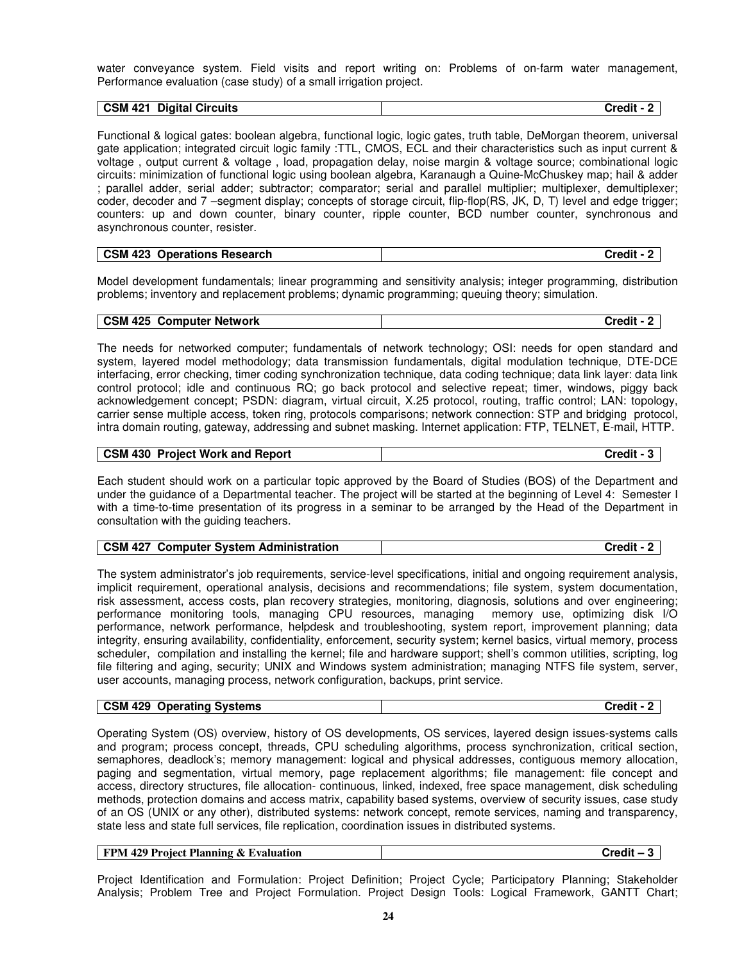water conveyance system. Field visits and report writing on: Problems of on-farm water management, Performance evaluation (case study) of a small irrigation project.

| <b>CSM</b><br>421<br>Digital<br><b>Circuits</b><br>_ | --<br>™ndit<br>. |
|------------------------------------------------------|------------------|
|                                                      |                  |

Functional & logical gates: boolean algebra, functional logic, logic gates, truth table, DeMorgan theorem, universal gate application; integrated circuit logic family :TTL, CMOS, ECL and their characteristics such as input current & voltage , output current & voltage , load, propagation delay, noise margin & voltage source; combinational logic circuits: minimization of functional logic using boolean algebra, Karanaugh a Quine-McChuskey map; hail & adder ; parallel adder, serial adder; subtractor; comparator; serial and parallel multiplier; multiplexer, demultiplexer; coder, decoder and 7 –segment display; concepts of storage circuit, flip-flop(RS, JK, D, T) level and edge trigger; counters: up and down counter, binary counter, ripple counter, BCD number counter, synchronous and asynchronous counter, resister.

| <b>CSM 423</b>             | `rodit |
|----------------------------|--------|
| <b>Operations Research</b> | arean  |

Model development fundamentals; linear programming and sensitivity analysis; integer programming, distribution problems; inventory and replacement problems; dynamic programming; queuing theory; simulation.

| <b>CSM 425 Computer Network</b> | Credit - 2 |
|---------------------------------|------------|

The needs for networked computer; fundamentals of network technology; OSI: needs for open standard and system, layered model methodology; data transmission fundamentals, digital modulation technique, DTE-DCE interfacing, error checking, timer coding synchronization technique, data coding technique; data link layer: data link control protocol; idle and continuous RQ; go back protocol and selective repeat; timer, windows, piggy back acknowledgement concept; PSDN: diagram, virtual circuit, X.25 protocol, routing, traffic control; LAN: topology, carrier sense multiple access, token ring, protocols comparisons; network connection: STP and bridging protocol, intra domain routing, gateway, addressing and subnet masking. Internet application: FTP, TELNET, E-mail, HTTP.

| <b>CSM 430</b>                 | Credit |
|--------------------------------|--------|
| <b>Project Work and Report</b> | - -    |

Each student should work on a particular topic approved by the Board of Studies (BOS) of the Department and under the guidance of a Departmental teacher. The project will be started at the beginning of Level 4: Semester I with a time-to-time presentation of its progress in a seminar to be arranged by the Head of the Department in consultation with the guiding teachers.

| <b>CSM 427</b><br>' Computer System Administration | Credit - |
|----------------------------------------------------|----------|
|----------------------------------------------------|----------|

The system administrator's job requirements, service-level specifications, initial and ongoing requirement analysis, implicit requirement, operational analysis, decisions and recommendations; file system, system documentation, risk assessment, access costs, plan recovery strategies, monitoring, diagnosis, solutions and over engineering; performance monitoring tools, managing CPU resources, managing memory use, optimizing disk I/O performance, network performance, helpdesk and troubleshooting, system report, improvement planning; data integrity, ensuring availability, confidentiality, enforcement, security system; kernel basics, virtual memory, process scheduler, compilation and installing the kernel; file and hardware support; shell's common utilities, scripting, log file filtering and aging, security; UNIX and Windows system administration; managing NTFS file system, server, user accounts, managing process, network configuration, backups, print service.

| <b>CSM 429</b><br><b>Operating Systems</b> | Credit |
|--------------------------------------------|--------|
|--------------------------------------------|--------|

Operating System (OS) overview, history of OS developments, OS services, layered design issues-systems calls and program; process concept, threads, CPU scheduling algorithms, process synchronization, critical section, semaphores, deadlock's; memory management: logical and physical addresses, contiguous memory allocation, paging and segmentation, virtual memory, page replacement algorithms; file management: file concept and access, directory structures, file allocation- continuous, linked, indexed, free space management, disk scheduling methods, protection domains and access matrix, capability based systems, overview of security issues, case study of an OS (UNIX or any other), distributed systems: network concept, remote services, naming and transparency, state less and state full services, file replication, coordination issues in distributed systems.

| <b>FPM 429 Project Planning &amp; Evaluation</b> | Credit |
|--------------------------------------------------|--------|
|                                                  |        |

Project Identification and Formulation: Project Definition; Project Cycle; Participatory Planning; Stakeholder Analysis; Problem Tree and Project Formulation. Project Design Tools: Logical Framework, GANTT Chart;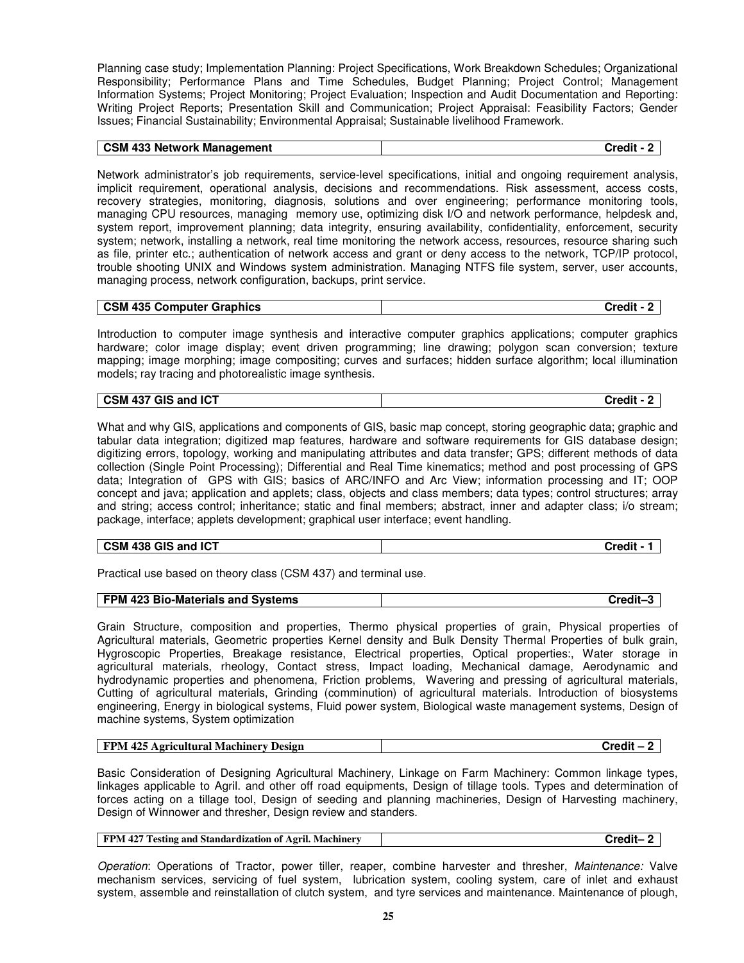Planning case study; Implementation Planning: Project Specifications, Work Breakdown Schedules; Organizational Responsibility; Performance Plans and Time Schedules, Budget Planning; Project Control; Management Information Systems; Project Monitoring; Project Evaluation; Inspection and Audit Documentation and Reporting: Writing Project Reports; Presentation Skill and Communication; Project Appraisal: Feasibility Factors; Gender Issues; Financial Sustainability; Environmental Appraisal; Sustainable livelihood Framework.

| <b>CSM 433 Network Management</b> | Credit - |
|-----------------------------------|----------|
|-----------------------------------|----------|

Network administrator's job requirements, service-level specifications, initial and ongoing requirement analysis, implicit requirement, operational analysis, decisions and recommendations. Risk assessment, access costs, recovery strategies, monitoring, diagnosis, solutions and over engineering; performance monitoring tools, managing CPU resources, managing memory use, optimizing disk I/O and network performance, helpdesk and, system report, improvement planning; data integrity, ensuring availability, confidentiality, enforcement, security system; network, installing a network, real time monitoring the network access, resources, resource sharing such as file, printer etc.; authentication of network access and grant or deny access to the network, TCP/IP protocol, trouble shooting UNIX and Windows system administration. Managing NTFS file system, server, user accounts, managing process, network configuration, backups, print service.

| <b>CSM 435 Computer Graphics</b> | Credit - |
|----------------------------------|----------|

Introduction to computer image synthesis and interactive computer graphics applications; computer graphics hardware; color image display; event driven programming; line drawing; polygon scan conversion; texture mapping; image morphing; image compositing; curves and surfaces; hidden surface algorithm; local illumination models; ray tracing and photorealistic image synthesis.

| <b>GIS</b><br>437<br>and ICT<br><b>CSM</b><br>_______ | --<br>Trodit<br>-1115 |
|-------------------------------------------------------|-----------------------|

What and why GIS, applications and components of GIS, basic map concept, storing geographic data; graphic and tabular data integration; digitized map features, hardware and software requirements for GIS database design; digitizing errors, topology, working and manipulating attributes and data transfer; GPS; different methods of data collection (Single Point Processing); Differential and Real Time kinematics; method and post processing of GPS data; Integration of GPS with GIS; basics of ARC/INFO and Arc View; information processing and IT; OOP concept and java; application and applets; class, objects and class members; data types; control structures; array and string; access control; inheritance; static and final members; abstract, inner and adapter class; i/o stream; package, interface; applets development; graphical user interface; event handling.

Practical use based on theory class (CSM 437) and terminal use.

| FPM 423 Bio-Materials and Systems | Credit- |
|-----------------------------------|---------|
|-----------------------------------|---------|

Grain Structure, composition and properties, Thermo physical properties of grain, Physical properties of Agricultural materials, Geometric properties Kernel density and Bulk Density Thermal Properties of bulk grain, Hygroscopic Properties, Breakage resistance, Electrical properties, Optical properties:, Water storage in agricultural materials, rheology, Contact stress, Impact loading, Mechanical damage, Aerodynamic and hydrodynamic properties and phenomena, Friction problems, Wavering and pressing of agricultural materials, Cutting of agricultural materials, Grinding (comminution) of agricultural materials. Introduction of biosystems engineering, Energy in biological systems, Fluid power system, Biological waste management systems, Design of machine systems, System optimization

| <b>FPM 425</b><br>5 Agricultural Machinery Design | Credit |
|---------------------------------------------------|--------|
|---------------------------------------------------|--------|

Basic Consideration of Designing Agricultural Machinery, Linkage on Farm Machinery: Common linkage types, linkages applicable to Agril. and other off road equipments, Design of tillage tools. Types and determination of forces acting on a tillage tool, Design of seeding and planning machineries, Design of Harvesting machinery, Design of Winnower and thresher, Design review and standers.

| FPM 427 Testing and Standardization of Agril. Machinery | Credit- |
|---------------------------------------------------------|---------|
|---------------------------------------------------------|---------|

Operation: Operations of Tractor, power tiller, reaper, combine harvester and thresher, Maintenance: Valve mechanism services, servicing of fuel system, lubrication system, cooling system, care of inlet and exhaust system, assemble and reinstallation of clutch system, and tyre services and maintenance. Maintenance of plough,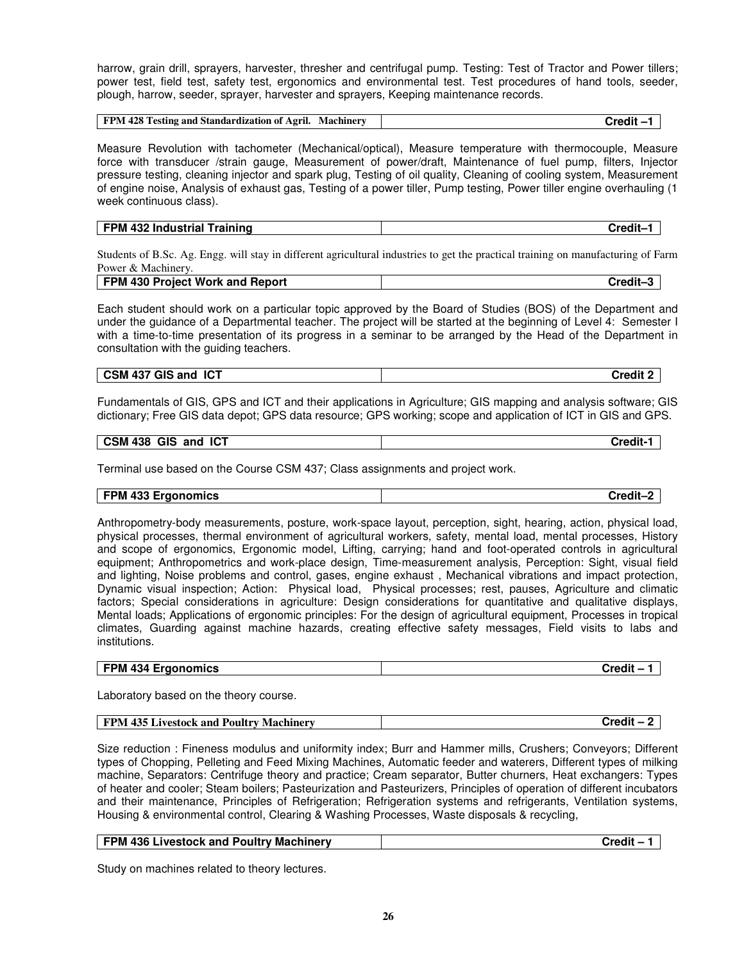harrow, grain drill, sprayers, harvester, thresher and centrifugal pump. Testing: Test of Tractor and Power tillers; power test, field test, safety test, ergonomics and environmental test. Test procedures of hand tools, seeder, plough, harrow, seeder, sprayer, harvester and sprayers, Keeping maintenance records.

| FPM 428 Testing and Standardization of Agril. Machinery | $\mathsf{C}$ redit |
|---------------------------------------------------------|--------------------|
|                                                         |                    |

Measure Revolution with tachometer (Mechanical/optical), Measure temperature with thermocouple, Measure force with transducer /strain gauge, Measurement of power/draft, Maintenance of fuel pump, filters, Injector pressure testing, cleaning injector and spark plug, Testing of oil quality, Cleaning of cooling system, Measurement of engine noise, Analysis of exhaust gas, Testing of a power tiller, Pump testing, Power tiller engine overhauling (1 week continuous class).

| <b>FPM</b><br>I 432 Industrial Training | Credit- |
|-----------------------------------------|---------|

Students of B.Sc. Ag. Engg. will stay in different agricultural industries to get the practical training on manufacturing of Farm Power & Machinery.

| <b>Project Work and Report</b><br><b>FPM</b><br>. 430 ' | redit- |
|---------------------------------------------------------|--------|
|                                                         |        |

Each student should work on a particular topic approved by the Board of Studies (BOS) of the Department and under the guidance of a Departmental teacher. The project will be started at the beginning of Level 4: Semester I with a time-to-time presentation of its progress in a seminar to be arranged by the Head of the Department in consultation with the guiding teachers.

#### **CSM 437 GIS and ICT Credit 2**

Fundamentals of GIS, GPS and ICT and their applications in Agriculture; GIS mapping and analysis software; GIS dictionary; Free GIS data depot; GPS data resource; GPS working; scope and application of ICT in GIS and GPS.

#### **CSM 438 GIS and ICT Credit-1**

Terminal use based on the Course CSM 437; Class assignments and project work.

# **FPM 433 Ergonomics Credit–2**

Anthropometry-body measurements, posture, work-space layout, perception, sight, hearing, action, physical load, physical processes, thermal environment of agricultural workers, safety, mental load, mental processes, History and scope of ergonomics, Ergonomic model, Lifting, carrying; hand and foot-operated controls in agricultural equipment; Anthropometrics and work-place design, Time-measurement analysis, Perception: Sight, visual field and lighting, Noise problems and control, gases, engine exhaust , Mechanical vibrations and impact protection, Dynamic visual inspection; Action: Physical load, Physical processes; rest, pauses, Agriculture and climatic factors; Special considerations in agriculture: Design considerations for quantitative and qualitative displays, Mental loads; Applications of ergonomic principles: For the design of agricultural equipment, Processes in tropical climates, Guarding against machine hazards, creating effective safety messages, Field visits to labs and institutions.

#### **FPM 434 Ergonomics Credit – 1**

Laboratory based on the theory course.

| <b>FPM 435 Livestock and</b><br>Poultry<br>Machinery | Credit |
|------------------------------------------------------|--------|
|------------------------------------------------------|--------|

Size reduction : Fineness modulus and uniformity index; Burr and Hammer mills, Crushers; Conveyors; Different types of Chopping, Pelleting and Feed Mixing Machines, Automatic feeder and waterers, Different types of milking machine, Separators: Centrifuge theory and practice; Cream separator, Butter churners, Heat exchangers: Types of heater and cooler; Steam boilers; Pasteurization and Pasteurizers, Principles of operation of different incubators and their maintenance, Principles of Refrigeration; Refrigeration systems and refrigerants, Ventilation systems, Housing & environmental control, Clearing & Washing Processes, Waste disposals & recycling,

| <b>FPM 436 Livestock and Poultry Machinery</b> | Credit - |
|------------------------------------------------|----------|
|------------------------------------------------|----------|

Study on machines related to theory lectures.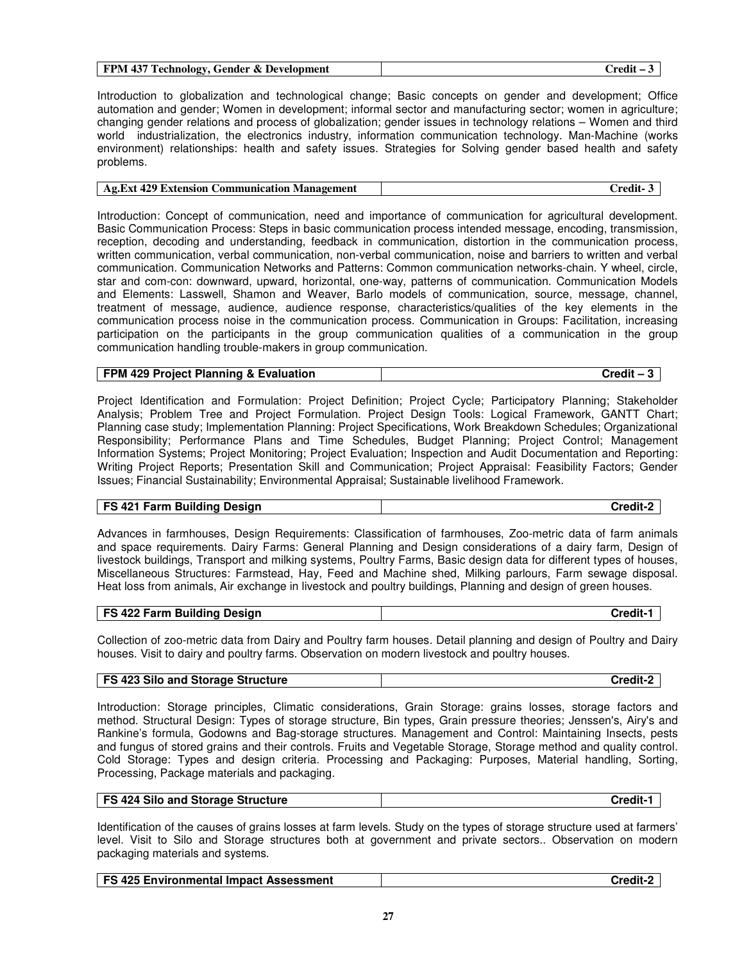| <b>FPM 437 Technology, Gender &amp; Development</b> | ∴redit ∙ |
|-----------------------------------------------------|----------|
|-----------------------------------------------------|----------|

Introduction to globalization and technological change; Basic concepts on gender and development; Office automation and gender; Women in development; informal sector and manufacturing sector; women in agriculture; changing gender relations and process of globalization; gender issues in technology relations – Women and third world industrialization, the electronics industry, information communication technology. Man-Machine (works) environment) relationships: health and safety issues. Strategies for Solving gender based health and safety problems.

| Ag. Ext 429 Extension Communication Management | $Credit-3$ |
|------------------------------------------------|------------|
|------------------------------------------------|------------|

Introduction: Concept of communication, need and importance of communication for agricultural development. Basic Communication Process: Steps in basic communication process intended message, encoding, transmission, reception, decoding and understanding, feedback in communication, distortion in the communication process, written communication, verbal communication, non-verbal communication, noise and barriers to written and verbal communication. Communication Networks and Patterns: Common communication networks-chain. Y wheel, circle, star and com-con: downward, upward, horizontal, one-way, patterns of communication. Communication Models and Elements: Lasswell, Shamon and Weaver, Barlo models of communication, source, message, channel, treatment of message, audience, audience response, characteristics/qualities of the key elements in the communication process noise in the communication process. Communication in Groups: Facilitation, increasing participation on the participants in the group communication qualities of a communication in the group communication handling trouble-makers in group communication.

| FPM 429 Project Planning & Evaluation | Credit – 3 |
|---------------------------------------|------------|
|---------------------------------------|------------|

Project Identification and Formulation: Project Definition; Project Cycle; Participatory Planning; Stakeholder Analysis; Problem Tree and Project Formulation. Project Design Tools: Logical Framework, GANTT Chart; Planning case study; Implementation Planning: Project Specifications, Work Breakdown Schedules; Organizational Responsibility; Performance Plans and Time Schedules, Budget Planning; Project Control; Management Information Systems; Project Monitoring; Project Evaluation; Inspection and Audit Documentation and Reporting: Writing Project Reports; Presentation Skill and Communication; Project Appraisal: Feasibility Factors; Gender Issues; Financial Sustainability; Environmental Appraisal; Sustainable livelihood Framework.

#### **FS 421 Farm Building Design Credit-2**

Advances in farmhouses, Design Requirements: Classification of farmhouses, Zoo-metric data of farm animals and space requirements. Dairy Farms: General Planning and Design considerations of a dairy farm, Design of livestock buildings, Transport and milking systems, Poultry Farms, Basic design data for different types of houses, Miscellaneous Structures: Farmstead, Hay, Feed and Machine shed, Milking parlours, Farm sewage disposal. Heat loss from animals, Air exchange in livestock and poultry buildings, Planning and design of green houses.

| <b>FS 422 Farm Building Design</b> | <b>Credit-1</b> |
|------------------------------------|-----------------|
|------------------------------------|-----------------|

Collection of zoo-metric data from Dairy and Poultry farm houses. Detail planning and design of Poultry and Dairy houses. Visit to dairy and poultry farms. Observation on modern livestock and poultry houses.

| <b>FS 423 Silo and Storage Structure</b> | Credit-2 |
|------------------------------------------|----------|
|------------------------------------------|----------|

Introduction: Storage principles, Climatic considerations, Grain Storage: grains losses, storage factors and method. Structural Design: Types of storage structure, Bin types, Grain pressure theories; Jenssen's, Airy's and Rankine's formula, Godowns and Bag-storage structures. Management and Control: Maintaining Insects, pests and fungus of stored grains and their controls. Fruits and Vegetable Storage, Storage method and quality control. Cold Storage: Types and design criteria. Processing and Packaging: Purposes, Material handling, Sorting, Processing, Package materials and packaging.

| <b>FS 424 Silo and Storage Structure</b> | Credit-1 |
|------------------------------------------|----------|
|                                          |          |

Identification of the causes of grains losses at farm levels. Study on the types of storage structure used at farmers' level. Visit to Silo and Storage structures both at government and private sectors.. Observation on modern packaging materials and systems.

| FS 425 Environmental Impact Assessment<br>Credit-2 |
|----------------------------------------------------|
|----------------------------------------------------|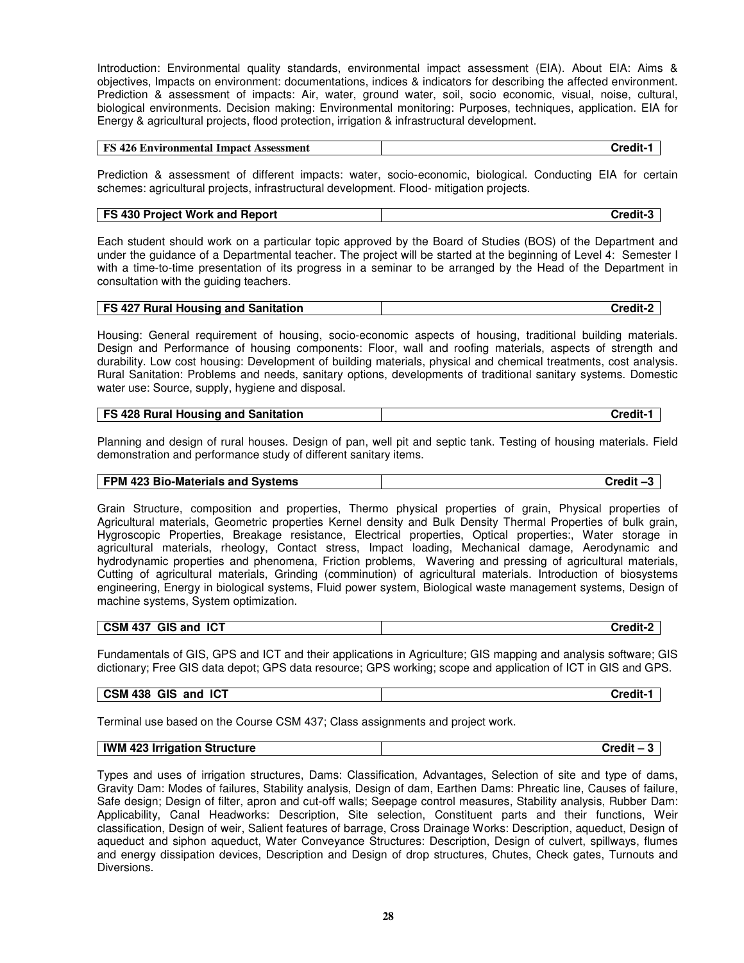Introduction: Environmental quality standards, environmental impact assessment (EIA). About EIA: Aims & objectives, Impacts on environment: documentations, indices & indicators for describing the affected environment. Prediction & assessment of impacts: Air, water, ground water, soil, socio economic, visual, noise, cultural, biological environments. Decision making: Environmental monitoring: Purposes, techniques, application. EIA for Energy & agricultural projects, flood protection, irrigation & infrastructural development.

| <b>FS 426 Environmental Impact Assessment</b> | Credit- ≀ |
|-----------------------------------------------|-----------|
|-----------------------------------------------|-----------|

Prediction & assessment of different impacts: water, socio-economic, biological. Conducting EIA for certain schemes: agricultural projects, infrastructural development. Flood- mitigation projects.

| <b>FS 430 Project Work and Report</b> | Credit- |
|---------------------------------------|---------|
|---------------------------------------|---------|

Each student should work on a particular topic approved by the Board of Studies (BOS) of the Department and under the guidance of a Departmental teacher. The project will be started at the beginning of Level 4: Semester I with a time-to-time presentation of its progress in a seminar to be arranged by the Head of the Department in consultation with the guiding teachers.

| <b>FS 427 Rural Housing and Sanitation</b> | Credit-2 |
|--------------------------------------------|----------|
|                                            |          |

Housing: General requirement of housing, socio-economic aspects of housing, traditional building materials. Design and Performance of housing components: Floor, wall and roofing materials, aspects of strength and durability. Low cost housing: Development of building materials, physical and chemical treatments, cost analysis. Rural Sanitation: Problems and needs, sanitary options, developments of traditional sanitary systems. Domestic water use: Source, supply, hygiene and disposal.

| <b>FS 428 Rural Housing and Sanitation</b> | Credit-1 |
|--------------------------------------------|----------|
|--------------------------------------------|----------|

Planning and design of rural houses. Design of pan, well pit and septic tank. Testing of housing materials. Field demonstration and performance study of different sanitary items.

| FPM 423 Bio-Materials and Systems | Credit-3 |
|-----------------------------------|----------|
|                                   |          |

Grain Structure, composition and properties, Thermo physical properties of grain, Physical properties of Agricultural materials, Geometric properties Kernel density and Bulk Density Thermal Properties of bulk grain, Hygroscopic Properties, Breakage resistance, Electrical properties, Optical properties:, Water storage in agricultural materials, rheology, Contact stress, Impact loading, Mechanical damage, Aerodynamic and hydrodynamic properties and phenomena, Friction problems, Wavering and pressing of agricultural materials, Cutting of agricultural materials, Grinding (comminution) of agricultural materials. Introduction of biosystems engineering, Energy in biological systems, Fluid power system, Biological waste management systems, Design of machine systems, System optimization.

| <b>GIS and ICT</b><br><b>CSM 437</b> | Credit-2 |
|--------------------------------------|----------|

Fundamentals of GIS, GPS and ICT and their applications in Agriculture; GIS mapping and analysis software; GIS dictionary; Free GIS data depot; GPS data resource; GPS working; scope and application of ICT in GIS and GPS.

| <b>GIS</b><br>IC <sub>1</sub><br><b>CSM 438</b><br>and | <b>Credit-</b> |
|--------------------------------------------------------|----------------|
|--------------------------------------------------------|----------------|

Terminal use based on the Course CSM 437; Class assignments and project work.

#### **IWM 423 Irrigation Structure Credit – 3**

Types and uses of irrigation structures, Dams: Classification, Advantages, Selection of site and type of dams, Gravity Dam: Modes of failures, Stability analysis, Design of dam, Earthen Dams: Phreatic line, Causes of failure, Safe design; Design of filter, apron and cut-off walls; Seepage control measures, Stability analysis, Rubber Dam: Applicability, Canal Headworks: Description, Site selection, Constituent parts and their functions, Weir classification, Design of weir, Salient features of barrage, Cross Drainage Works: Description, aqueduct, Design of aqueduct and siphon aqueduct, Water Conveyance Structures: Description, Design of culvert, spillways, flumes and energy dissipation devices, Description and Design of drop structures, Chutes, Check gates, Turnouts and Diversions.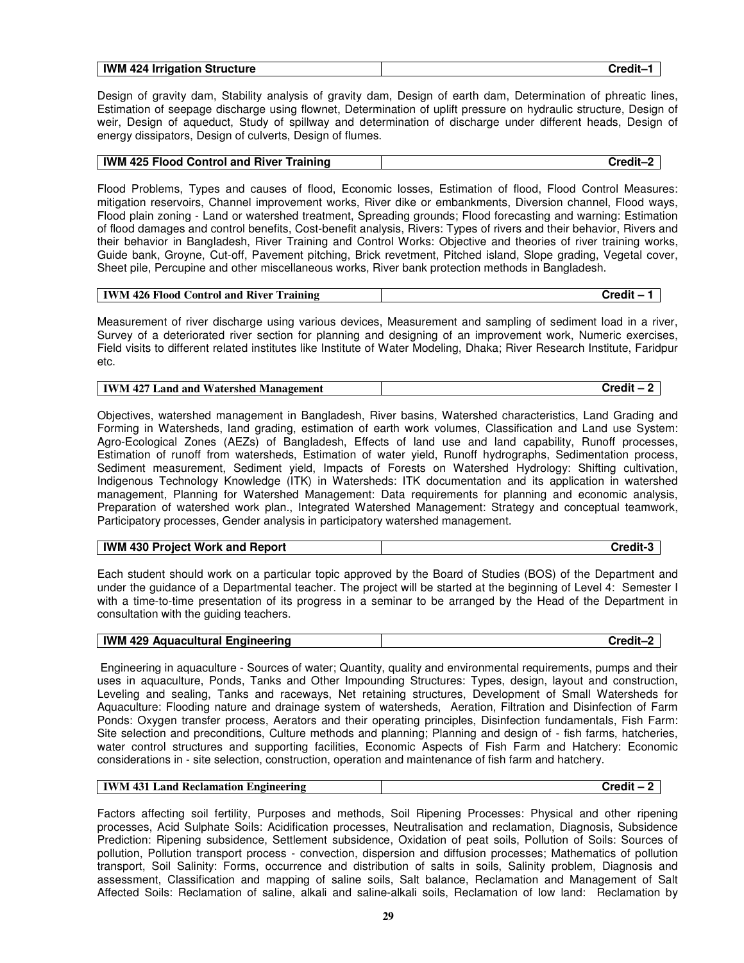| IWM.<br>$\cdot$ 4 $\degree$<br><b>Structure</b><br>. Irrigation<br>ונכי<br>- 2 | .<br>.<br>-----<br>. |
|--------------------------------------------------------------------------------|----------------------|
|                                                                                |                      |

Design of gravity dam, Stability analysis of gravity dam, Design of earth dam, Determination of phreatic lines, Estimation of seepage discharge using flownet, Determination of uplift pressure on hydraulic structure, Design of weir, Design of aqueduct, Study of spillway and determination of discharge under different heads, Design of energy dissipators, Design of culverts, Design of flumes.

| IWM 425 Flood Control and River Training | Credit–' |
|------------------------------------------|----------|
|                                          |          |

Flood Problems, Types and causes of flood, Economic losses, Estimation of flood, Flood Control Measures: mitigation reservoirs, Channel improvement works, River dike or embankments, Diversion channel, Flood ways, Flood plain zoning - Land or watershed treatment, Spreading grounds; Flood forecasting and warning: Estimation of flood damages and control benefits, Cost-benefit analysis, Rivers: Types of rivers and their behavior, Rivers and their behavior in Bangladesh, River Training and Control Works: Objective and theories of river training works, Guide bank, Groyne, Cut-off, Pavement pitching, Brick revetment, Pitched island, Slope grading, Vegetal cover, Sheet pile, Percupine and other miscellaneous works, River bank protection methods in Bangladesh.

| IWM 426 Flood C<br>l River Training<br>Credit<br><b>Control</b> and |
|---------------------------------------------------------------------|
|---------------------------------------------------------------------|

Measurement of river discharge using various devices, Measurement and sampling of sediment load in a river, Survey of a deteriorated river section for planning and designing of an improvement work, Numeric exercises, Field visits to different related institutes like Institute of Water Modeling, Dhaka; River Research Institute, Faridpur etc.

| IWM 427 Land and Watershed Management | Credit – |
|---------------------------------------|----------|
|---------------------------------------|----------|

Objectives, watershed management in Bangladesh, River basins, Watershed characteristics, Land Grading and Forming in Watersheds, land grading, estimation of earth work volumes, Classification and Land use System: Agro-Ecological Zones (AEZs) of Bangladesh, Effects of land use and land capability, Runoff processes, Estimation of runoff from watersheds, Estimation of water yield, Runoff hydrographs, Sedimentation process, Sediment measurement, Sediment yield, Impacts of Forests on Watershed Hydrology: Shifting cultivation, Indigenous Technology Knowledge (ITK) in Watersheds: ITK documentation and its application in watershed management, Planning for Watershed Management: Data requirements for planning and economic analysis, Preparation of watershed work plan., Integrated Watershed Management: Strategy and conceptual teamwork, Participatory processes, Gender analysis in participatory watershed management.

| <b>IWM 430 Project Work and Report</b> | Credit-3 |
|----------------------------------------|----------|
|----------------------------------------|----------|

Each student should work on a particular topic approved by the Board of Studies (BOS) of the Department and under the guidance of a Departmental teacher. The project will be started at the beginning of Level 4: Semester I with a time-to-time presentation of its progress in a seminar to be arranged by the Head of the Department in consultation with the guiding teachers.

 Engineering in aquaculture - Sources of water; Quantity, quality and environmental requirements, pumps and their uses in aquaculture, Ponds, Tanks and Other Impounding Structures: Types, design, layout and construction, Leveling and sealing, Tanks and raceways, Net retaining structures, Development of Small Watersheds for Aquaculture: Flooding nature and drainage system of watersheds, Aeration, Filtration and Disinfection of Farm Ponds: Oxygen transfer process, Aerators and their operating principles, Disinfection fundamentals, Fish Farm: Site selection and preconditions, Culture methods and planning; Planning and design of - fish farms, hatcheries, water control structures and supporting facilities, Economic Aspects of Fish Farm and Hatchery: Economic considerations in - site selection, construction, operation and maintenance of fish farm and hatchery.

| <b>IWM 431 Land Reclamation Engineering</b> | Credit – |
|---------------------------------------------|----------|
|---------------------------------------------|----------|

Factors affecting soil fertility, Purposes and methods, Soil Ripening Processes: Physical and other ripening processes, Acid Sulphate Soils: Acidification processes, Neutralisation and reclamation, Diagnosis, Subsidence Prediction: Ripening subsidence, Settlement subsidence, Oxidation of peat soils, Pollution of Soils: Sources of pollution, Pollution transport process - convection, dispersion and diffusion processes; Mathematics of pollution transport, Soil Salinity: Forms, occurrence and distribution of salts in soils, Salinity problem, Diagnosis and assessment, Classification and mapping of saline soils, Salt balance, Reclamation and Management of Salt Affected Soils: Reclamation of saline, alkali and saline-alkali soils, Reclamation of low land: Reclamation by